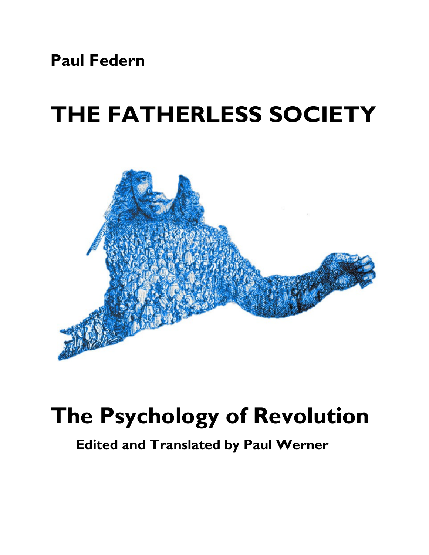**Paul Federn**

## **THE FATHERLESS SOCIETY**



## **The Psychology of Revolution**

**Edited and Translated by Paul Werner**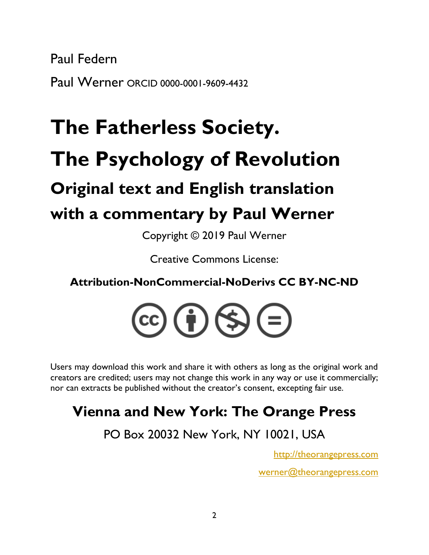Paul Federn Paul Werner ORCID 0000-0001-9609-4432

# **The Fatherless Society. The Psychology of Revolution Original text and English translation with a commentary by Paul Werner**

Copyright © 2019 Paul Werner

Creative Commons License:

**Attribution-NonCommercial-NoDerivs CC BY-NC-ND**



Users may download this work and share it with others as long as the original work and creators are credited; users may not change this work in any way or use it commercially; nor can extracts be published without the creator's consent, excepting fair use.

### **Vienna and New York: The Orange Press**

PO Box 20032 New York, NY 10021, USA

[http://theorangepress.com](http://theorangepress.com/)

[werner@theorangepress.com](mailto:werner@theorangepress.com)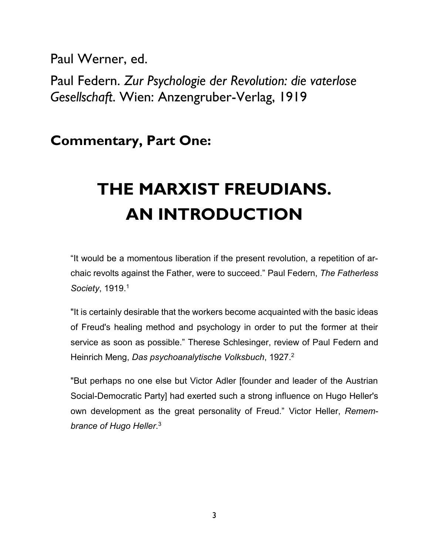Paul Werner, ed.

Paul Federn. *Zur Psychologie der Revolution: die vaterlose Gesellschaft*. Wien: Anzengruber-Verlag, 1919

**Commentary, Part One:**

### **THE MARXIST FREUDIANS. AN INTRODUCTION**

"It would be a momentous liberation if the present revolution, a repetition of archaic revolts against the Father, were to succeed." Paul Federn, *The Fatherless Society*, 1919.<sup>1</sup>

"It is certainly desirable that the workers become acquainted with the basic ideas of Freud's healing method and psychology in order to put the former at their service as soon as possible." Therese Schlesinger, review of Paul Federn and Heinrich Meng, *Das psychoanalytische Volksbuch*, 1927. 2

"But perhaps no one else but Victor Adler [founder and leader of the Austrian Social-Democratic Party] had exerted such a strong influence on Hugo Heller's own development as the great personality of Freud." Victor Heller, *Remembrance of Hugo Heller*. 3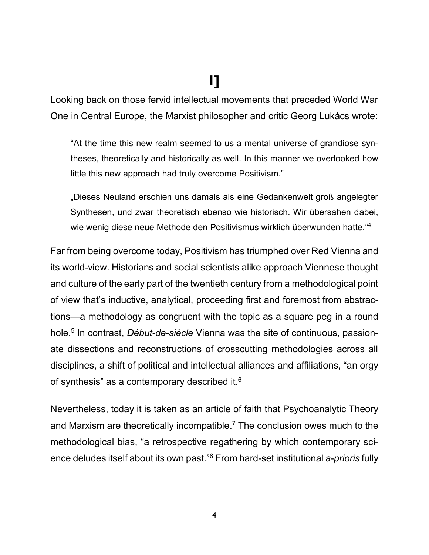### **I]**

Looking back on those fervid intellectual movements that preceded World War One in Central Europe, the Marxist philosopher and critic Georg Lukács wrote:

"At the time this new realm seemed to us a mental universe of grandiose syntheses, theoretically and historically as well. In this manner we overlooked how little this new approach had truly overcome Positivism."

"Dieses Neuland erschien uns damals als eine Gedankenwelt groß angelegter Synthesen, und zwar theoretisch ebenso wie historisch. Wir übersahen dabei, wie wenig diese neue Methode den Positivismus wirklich überwunden hatte."<sup>4</sup>

Far from being overcome today, Positivism has triumphed over Red Vienna and its world-view. Historians and social scientists alike approach Viennese thought and culture of the early part of the twentieth century from a methodological point of view that's inductive, analytical, proceeding first and foremost from abstractions—a methodology as congruent with the topic as a square peg in a round hole.<sup>5</sup> In contrast, *Début-de-siècle* Vienna was the site of continuous, passionate dissections and reconstructions of crosscutting methodologies across all disciplines, a shift of political and intellectual alliances and affiliations, "an orgy of synthesis" as a contemporary described it. $^6$ 

Nevertheless, today it is taken as an article of faith that Psychoanalytic Theory and Marxism are theoretically incompatible.<sup>7</sup> The conclusion owes much to the methodological bias, "a retrospective regathering by which contemporary science deludes itself about its own past."<sup>8</sup> From hard-set institutional *a-prioris* fully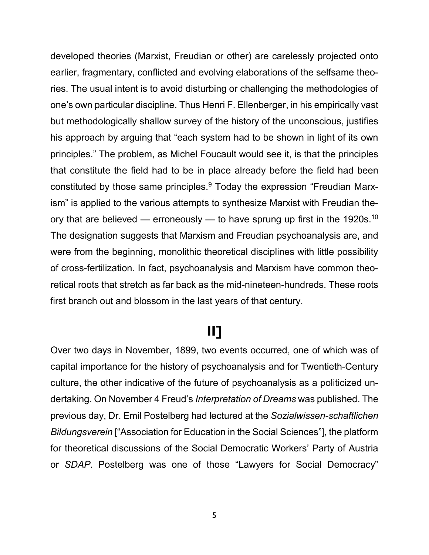developed theories (Marxist, Freudian or other) are carelessly projected onto earlier, fragmentary, conflicted and evolving elaborations of the selfsame theories. The usual intent is to avoid disturbing or challenging the methodologies of one's own particular discipline. Thus Henri F. Ellenberger, in his empirically vast but methodologically shallow survey of the history of the unconscious, justifies his approach by arguing that "each system had to be shown in light of its own principles." The problem, as Michel Foucault would see it, is that the principles that constitute the field had to be in place already before the field had been constituted by those same principles.<sup>9</sup> Today the expression "Freudian Marxism" is applied to the various attempts to synthesize Marxist with Freudian theory that are believed — erroneously — to have sprung up first in the 1920s.<sup>10</sup> The designation suggests that Marxism and Freudian psychoanalysis are, and were from the beginning, monolithic theoretical disciplines with little possibility of cross-fertilization. In fact, psychoanalysis and Marxism have common theoretical roots that stretch as far back as the mid-nineteen-hundreds. These roots first branch out and blossom in the last years of that century.

#### **II]**

Over two days in November, 1899, two events occurred, one of which was of capital importance for the history of psychoanalysis and for Twentieth-Century culture, the other indicative of the future of psychoanalysis as a politicized undertaking. On November 4 Freud's *Interpretation of Dreams* was published. The previous day, Dr. Emil Postelberg had lectured at the *Sozialwissen-schaftlichen Bildungsverein* ["Association for Education in the Social Sciences"], the platform for theoretical discussions of the Social Democratic Workers' Party of Austria or *SDAP*. Postelberg was one of those "Lawyers for Social Democracy"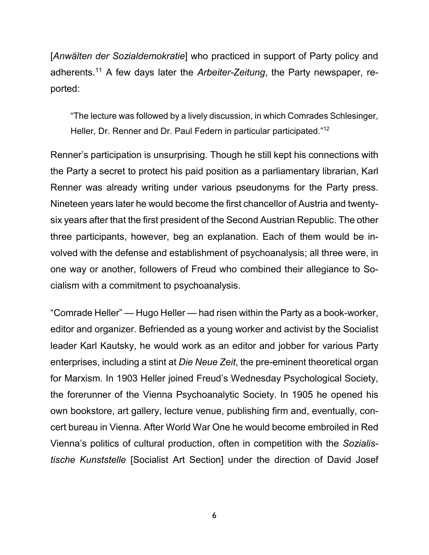[*Anwälten der Sozialdemokratie*] who practiced in support of Party policy and adherents.<sup>11</sup> A few days later the *Arbeiter-Zeitung*, the Party newspaper, reported:

"The lecture was followed by a lively discussion, in which Comrades Schlesinger, Heller, Dr. Renner and Dr. Paul Federn in particular participated."<sup>12</sup>

Renner's participation is unsurprising. Though he still kept his connections with the Party a secret to protect his paid position as a parliamentary librarian, Karl Renner was already writing under various pseudonyms for the Party press. Nineteen years later he would become the first chancellor of Austria and twentysix years after that the first president of the Second Austrian Republic. The other three participants, however, beg an explanation. Each of them would be involved with the defense and establishment of psychoanalysis; all three were, in one way or another, followers of Freud who combined their allegiance to Socialism with a commitment to psychoanalysis.

"Comrade Heller" — Hugo Heller — had risen within the Party as a book-worker, editor and organizer. Befriended as a young worker and activist by the Socialist leader Karl Kautsky, he would work as an editor and jobber for various Party enterprises, including a stint at *Die Neue Zeit*, the pre-eminent theoretical organ for Marxism. In 1903 Heller joined Freud's Wednesday Psychological Society, the forerunner of the Vienna Psychoanalytic Society. In 1905 he opened his own bookstore, art gallery, lecture venue, publishing firm and, eventually, concert bureau in Vienna. After World War One he would become embroiled in Red Vienna's politics of cultural production, often in competition with the *Sozialistische Kunststelle* [Socialist Art Section] under the direction of David Josef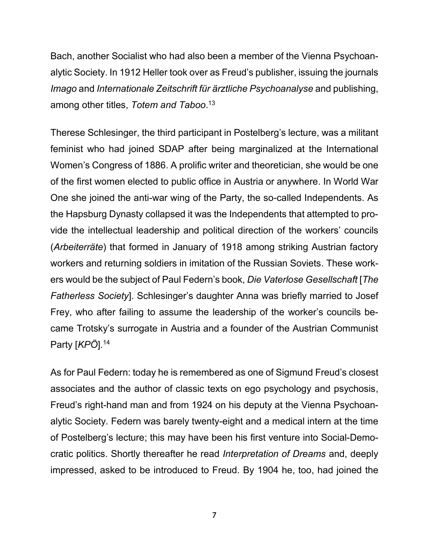Bach, another Socialist who had also been a member of the Vienna Psychoanalytic Society. In 1912 Heller took over as Freud's publisher, issuing the journals *Imago* and *Internationale Zeitschrift für ärztliche Psychoanalyse* and publishing, among other titles, *Totem and Taboo*. 13

Therese Schlesinger, the third participant in Postelberg's lecture, was a militant feminist who had joined SDAP after being marginalized at the International Women's Congress of 1886. A prolific writer and theoretician, she would be one of the first women elected to public office in Austria or anywhere. In World War One she joined the anti-war wing of the Party, the so-called Independents. As the Hapsburg Dynasty collapsed it was the Independents that attempted to provide the intellectual leadership and political direction of the workers' councils (*Arbeiterräte*) that formed in January of 1918 among striking Austrian factory workers and returning soldiers in imitation of the Russian Soviets. These workers would be the subject of Paul Federn's book, *Die Vaterlose Gesellschaft* [*The Fatherless Society*]. Schlesinger's daughter Anna was briefly married to Josef Frey, who after failing to assume the leadership of the worker's councils became Trotsky's surrogate in Austria and a founder of the Austrian Communist Party [*KPÖ*]. 14

As for Paul Federn: today he is remembered as one of Sigmund Freud's closest associates and the author of classic texts on ego psychology and psychosis, Freud's right-hand man and from 1924 on his deputy at the Vienna Psychoanalytic Society. Federn was barely twenty-eight and a medical intern at the time of Postelberg's lecture; this may have been his first venture into Social-Democratic politics. Shortly thereafter he read *Interpretation of Dreams* and, deeply impressed, asked to be introduced to Freud. By 1904 he, too, had joined the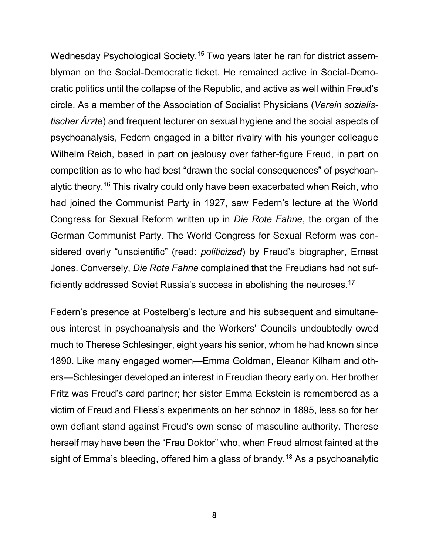Wednesday Psychological Society. <sup>15</sup> Two years later he ran for district assemblyman on the Social-Democratic ticket. He remained active in Social-Democratic politics until the collapse of the Republic, and active as well within Freud's circle. As a member of the Association of Socialist Physicians (*Verein sozialistischer Ärzte*) and frequent lecturer on sexual hygiene and the social aspects of psychoanalysis, Federn engaged in a bitter rivalry with his younger colleague Wilhelm Reich, based in part on jealousy over father-figure Freud, in part on competition as to who had best "drawn the social consequences" of psychoanalytic theory.<sup>16</sup> This rivalry could only have been exacerbated when Reich, who had joined the Communist Party in 1927, saw Federn's lecture at the World Congress for Sexual Reform written up in *Die Rote Fahne*, the organ of the German Communist Party. The World Congress for Sexual Reform was considered overly "unscientific" (read: *politicized*) by Freud's biographer, Ernest Jones. Conversely, *Die Rote Fahne* complained that the Freudians had not sufficiently addressed Soviet Russia's success in abolishing the neuroses.<sup>17</sup>

Federn's presence at Postelberg's lecture and his subsequent and simultaneous interest in psychoanalysis and the Workers' Councils undoubtedly owed much to Therese Schlesinger, eight years his senior, whom he had known since 1890. Like many engaged women—Emma Goldman, Eleanor Kilham and others—Schlesinger developed an interest in Freudian theory early on. Her brother Fritz was Freud's card partner; her sister Emma Eckstein is remembered as a victim of Freud and Fliess's experiments on her schnoz in 1895, less so for her own defiant stand against Freud's own sense of masculine authority. Therese herself may have been the "Frau Doktor" who, when Freud almost fainted at the sight of Emma's bleeding, offered him a glass of brandy.<sup>18</sup> As a psychoanalytic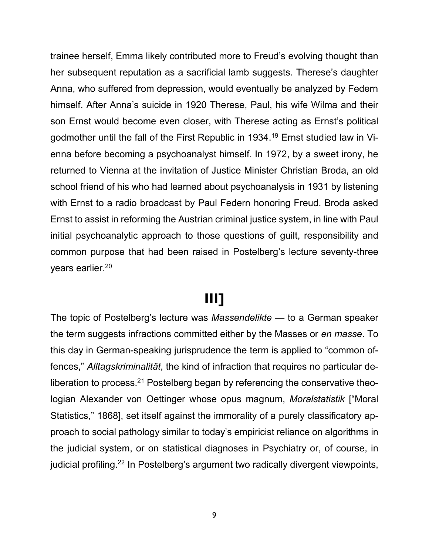trainee herself, Emma likely contributed more to Freud's evolving thought than her subsequent reputation as a sacrificial lamb suggests. Therese's daughter Anna, who suffered from depression, would eventually be analyzed by Federn himself. After Anna's suicide in 1920 Therese, Paul, his wife Wilma and their son Ernst would become even closer, with Therese acting as Ernst's political godmother until the fall of the First Republic in 1934. <sup>19</sup> Ernst studied law in Vienna before becoming a psychoanalyst himself. In 1972, by a sweet irony, he returned to Vienna at the invitation of Justice Minister Christian Broda, an old school friend of his who had learned about psychoanalysis in 1931 by listening with Ernst to a radio broadcast by Paul Federn honoring Freud. Broda asked Ernst to assist in reforming the Austrian criminal justice system, in line with Paul initial psychoanalytic approach to those questions of guilt, responsibility and common purpose that had been raised in Postelberg's lecture seventy-three years earlier.<sup>20</sup>

#### **III]**

The topic of Postelberg's lecture was *Massendelikte* — to a German speaker the term suggests infractions committed either by the Masses or *en masse*. To this day in German-speaking jurisprudence the term is applied to "common offences," *Alltagskriminalität*, the kind of infraction that requires no particular deliberation to process. $^{21}$  Postelberg began by referencing the conservative theologian Alexander von Oettinger whose opus magnum, *Moralstatistik* ["Moral Statistics," 1868], set itself against the immorality of a purely classificatory approach to social pathology similar to today's empiricist reliance on algorithms in the judicial system, or on statistical diagnoses in Psychiatry or, of course, in judicial profiling.<sup>22</sup> In Postelberg's argument two radically divergent viewpoints,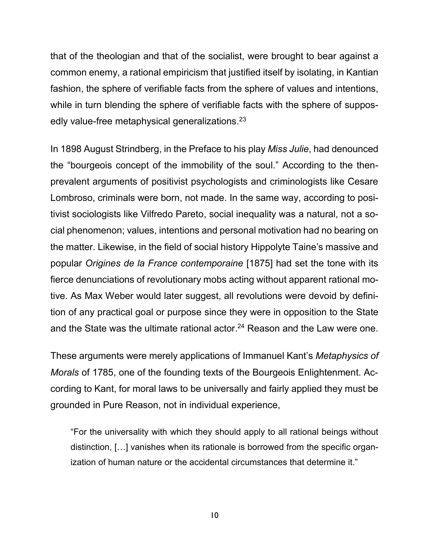that of the theologian and that of the socialist, were brought to bear against a common enemy, a rational empiricism that justified itself by isolating, in Kantian fashion, the sphere of verifiable facts from the sphere of values and intentions, while in turn blending the sphere of verifiable facts with the sphere of supposedly value-free metaphysical generalizations. 23

In 1898 August Strindberg, in the Preface to his play *Miss Julie*, had denounced the "bourgeois concept of the immobility of the soul." According to the thenprevalent arguments of positivist psychologists and criminologists like Cesare Lombroso, criminals were born, not made. In the same way, according to positivist sociologists like Vilfredo Pareto, social inequality was a natural, not a social phenomenon; values, intentions and personal motivation had no bearing on the matter. Likewise, in the field of social history Hippolyte Taine's massive and popular *Origines de la France contemporaine* [1875] had set the tone with its fierce denunciations of revolutionary mobs acting without apparent rational motive. As Max Weber would later suggest, all revolutions were devoid by definition of any practical goal or purpose since they were in opposition to the State and the State was the ultimate rational actor. <sup>24</sup> Reason and the Law were one.

These arguments were merely applications of Immanuel Kant's *Metaphysics of Morals* of 1785, one of the founding texts of the Bourgeois Enlightenment. According to Kant, for moral laws to be universally and fairly applied they must be grounded in Pure Reason, not in individual experience,

"For the universality with which they should apply to all rational beings without distinction, […] vanishes when its rationale is borrowed from the specific organization of human nature or the accidental circumstances that determine it."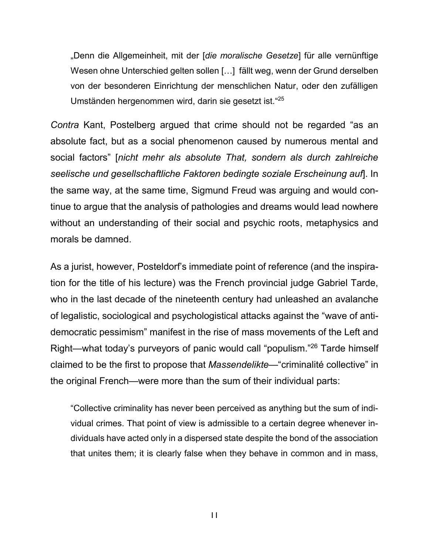"Denn die Allgemeinheit, mit der [*die moralische Gesetze*] für alle vernünftige Wesen ohne Unterschied gelten sollen […] fällt weg, wenn der Grund derselben von der besonderen Einrichtung der menschlichen Natur, oder den zufälligen Umständen hergenommen wird, darin sie gesetzt ist." 25

*Contra* Kant, Postelberg argued that crime should not be regarded "as an absolute fact, but as a social phenomenon caused by numerous mental and social factors" [*nicht mehr als absolute That, sondern als durch zahlreiche seelische und gesellschaftliche Faktoren bedingte soziale Erscheinung auf*]. In the same way, at the same time, Sigmund Freud was arguing and would continue to argue that the analysis of pathologies and dreams would lead nowhere without an understanding of their social and psychic roots, metaphysics and morals be damned.

As a jurist, however, Posteldorf's immediate point of reference (and the inspiration for the title of his lecture) was the French provincial judge Gabriel Tarde, who in the last decade of the nineteenth century had unleashed an avalanche of legalistic, sociological and psychologistical attacks against the "wave of antidemocratic pessimism" manifest in the rise of mass movements of the Left and Right—what today's purveyors of panic would call "populism."<sup>26</sup> Tarde himself claimed to be the first to propose that *Massendelikte*—"criminalité collective" in the original French—were more than the sum of their individual parts:

"Collective criminality has never been perceived as anything but the sum of individual crimes. That point of view is admissible to a certain degree whenever individuals have acted only in a dispersed state despite the bond of the association that unites them; it is clearly false when they behave in common and in mass,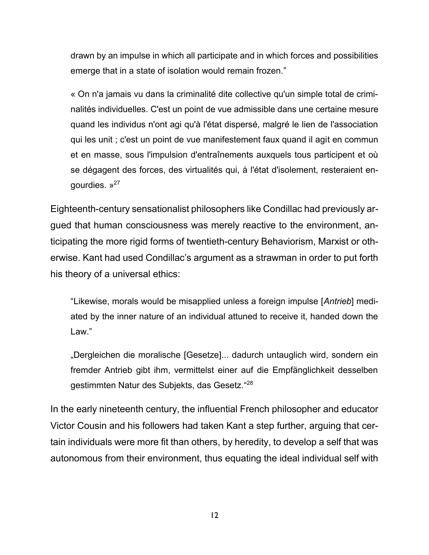drawn by an impulse in which all participate and in which forces and possibilities emerge that in a state of isolation would remain frozen."

« On n'a jamais vu dans la criminalité dite collective qu'un simple total de criminalités individuelles. C'est un point de vue admissible dans une certaine mesure quand les individus n'ont agi qu'à l'état dispersé, malgré le lien de l'association qui les unit ; c'est un point de vue manifestement faux quand il agit en commun et en masse, sous l'impulsion d'entraînements auxquels tous participent et où se dégagent des forces, des virtualités qui, à l'état d'isolement, resteraient engourdies. »<sup>27</sup>

Eighteenth-century sensationalist philosophers like Condillac had previously argued that human consciousness was merely reactive to the environment, anticipating the more rigid forms of twentieth-century Behaviorism, Marxist or otherwise. Kant had used Condillac's argument as a strawman in order to put forth his theory of a universal ethics:

"Likewise, morals would be misapplied unless a foreign impulse [*Antrieb*] mediated by the inner nature of an individual attuned to receive it, handed down the Law."

"Dergleichen die moralische [Gesetze]... dadurch untauglich wird, sondern ein fremder Antrieb gibt ihm, vermittelst einer auf die Empfänglichkeit desselben gestimmten Natur des Subjekts, das Gesetz."<sup>28</sup>

In the early nineteenth century, the influential French philosopher and educator Victor Cousin and his followers had taken Kant a step further, arguing that certain individuals were more fit than others, by heredity, to develop a self that was autonomous from their environment, thus equating the ideal individual self with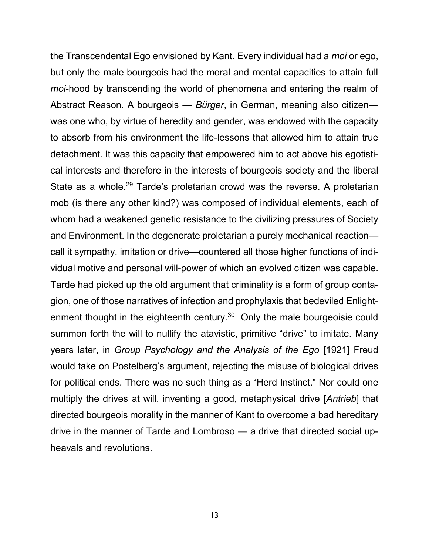the Transcendental Ego envisioned by Kant. Every individual had a *moi* or ego, but only the male bourgeois had the moral and mental capacities to attain full *moi*-hood by transcending the world of phenomena and entering the realm of Abstract Reason. A bourgeois — *Bürger*, in German, meaning also citizen was one who, by virtue of heredity and gender, was endowed with the capacity to absorb from his environment the life-lessons that allowed him to attain true detachment. It was this capacity that empowered him to act above his egotistical interests and therefore in the interests of bourgeois society and the liberal State as a whole.<sup>29</sup> Tarde's proletarian crowd was the reverse. A proletarian mob (is there any other kind?) was composed of individual elements, each of whom had a weakened genetic resistance to the civilizing pressures of Society and Environment. In the degenerate proletarian a purely mechanical reaction call it sympathy, imitation or drive—countered all those higher functions of individual motive and personal will-power of which an evolved citizen was capable. Tarde had picked up the old argument that criminality is a form of group contagion, one of those narratives of infection and prophylaxis that bedeviled Enlightenment thought in the eighteenth century. $30$  Only the male bourgeoisie could summon forth the will to nullify the atavistic, primitive "drive" to imitate. Many years later, in *Group Psychology and the Analysis of the Ego* [1921] Freud would take on Postelberg's argument, rejecting the misuse of biological drives for political ends. There was no such thing as a "Herd Instinct." Nor could one multiply the drives at will, inventing a good, metaphysical drive [*Antrieb*] that directed bourgeois morality in the manner of Kant to overcome a bad hereditary drive in the manner of Tarde and Lombroso — a drive that directed social upheavals and revolutions.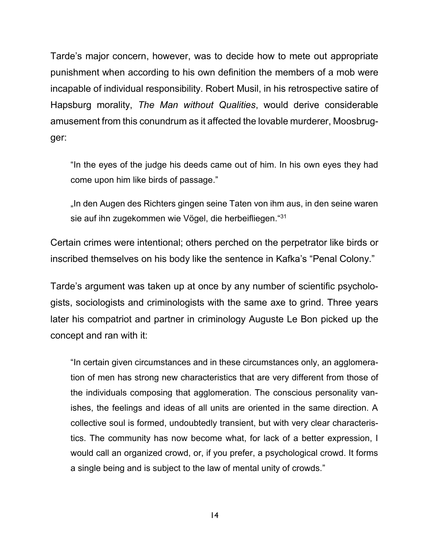Tarde's major concern, however, was to decide how to mete out appropriate punishment when according to his own definition the members of a mob were incapable of individual responsibility. Robert Musil, in his retrospective satire of Hapsburg morality, *The Man without Qualities*, would derive considerable amusement from this conundrum as it affected the lovable murderer, Moosbrugger:

"In the eyes of the judge his deeds came out of him. In his own eyes they had come upon him like birds of passage."

"In den Augen des Richters gingen seine Taten von ihm aus, in den seine waren sie auf ihn zugekommen wie Vögel, die herbeifliegen."<sup>31</sup>

Certain crimes were intentional; others perched on the perpetrator like birds or inscribed themselves on his body like the sentence in Kafka's "Penal Colony."

Tarde's argument was taken up at once by any number of scientific psychologists, sociologists and criminologists with the same axe to grind. Three years later his compatriot and partner in criminology Auguste Le Bon picked up the concept and ran with it:

"In certain given circumstances and in these circumstances only, an agglomeration of men has strong new characteristics that are very different from those of the individuals composing that agglomeration. The conscious personality vanishes, the feelings and ideas of all units are oriented in the same direction. A collective soul is formed, undoubtedly transient, but with very clear characteristics. The community has now become what, for lack of a better expression, I would call an organized crowd, or, if you prefer, a psychological crowd. It forms a single being and is subject to the law of mental unity of crowds."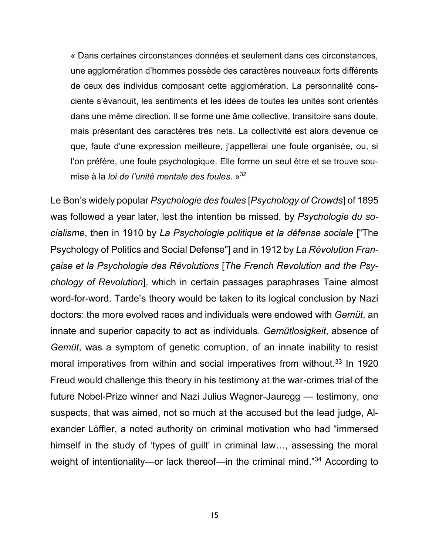« Dans certaines circonstances données et seulement dans ces circonstances, une agglomération d'hommes possède des caractères nouveaux forts différents de ceux des individus composant cette agglomération. La personnalité consciente s'évanouit, les sentiments et les idées de toutes les unités sont orientés dans une même direction. Il se forme une âme collective, transitoire sans doute, mais présentant des caractères très nets. La collectivité est alors devenue ce que, faute d'une expression meilleure, j'appellerai une foule organisée, ou, si l'on préfère, une foule psychologique. Elle forme un seul être et se trouve soumise à la *loi de l'unité mentale des foules*. » 32

Le Bon's widely popular *Psychologie des foules* [*Psychology of Crowds*] of 1895 was followed a year later, lest the intention be missed, by *Psychologie du socialisme*, then in 1910 by *La Psychologie politique et la défense sociale* ["The Psychology of Politics and Social Defense"] and in 1912 by *La Révolution Française et la Psychologie des Révolutions* [*The French Revolution and the Psychology of Revolution*], which in certain passages paraphrases Taine almost word-for-word. Tarde's theory would be taken to its logical conclusion by Nazi doctors: the more evolved races and individuals were endowed with *Gemüt*, an innate and superior capacity to act as individuals. *Gemütlosigkeit*, absence of *Gemüt*, was a symptom of genetic corruption, of an innate inability to resist moral imperatives from within and social imperatives from without. <sup>33</sup> In 1920 Freud would challenge this theory in his testimony at the war-crimes trial of the future Nobel-Prize winner and Nazi Julius Wagner-Jauregg — testimony, one suspects, that was aimed, not so much at the accused but the lead judge, Alexander Löffler, a noted authority on criminal motivation who had "immersed himself in the study of 'types of guilt' in criminal law..., assessing the moral weight of intentionality—or lack thereof—in the criminal mind."<sup>34</sup> According to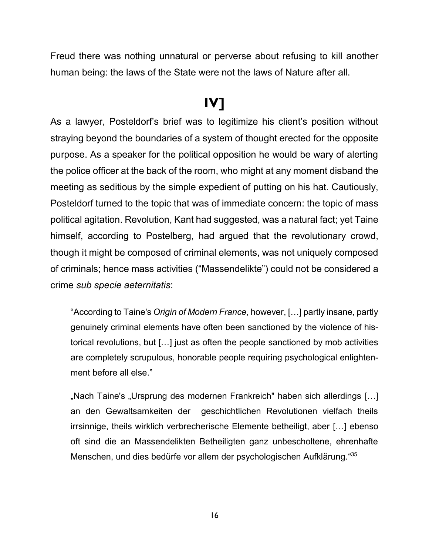Freud there was nothing unnatural or perverse about refusing to kill another human being: the laws of the State were not the laws of Nature after all.

#### **IV]**

As a lawyer, Posteldorf's brief was to legitimize his client's position without straying beyond the boundaries of a system of thought erected for the opposite purpose. As a speaker for the political opposition he would be wary of alerting the police officer at the back of the room, who might at any moment disband the meeting as seditious by the simple expedient of putting on his hat. Cautiously, Posteldorf turned to the topic that was of immediate concern: the topic of mass political agitation. Revolution, Kant had suggested, was a natural fact; yet Taine himself, according to Postelberg, had argued that the revolutionary crowd, though it might be composed of criminal elements, was not uniquely composed of criminals; hence mass activities ("Massendelikte") could not be considered a crime *sub specie aeternitatis*:

"According to Taine's *Origin of Modern France*, however, […] partly insane, partly genuinely criminal elements have often been sanctioned by the violence of historical revolutions, but […] just as often the people sanctioned by mob activities are completely scrupulous, honorable people requiring psychological enlightenment before all else."

"Nach Taine's "Ursprung des modernen Frankreich" haben sich allerdings [...] an den Gewaltsamkeiten der geschichtlichen Revolutionen vielfach theils irrsinnige, theils wirklich verbrecherische Elemente betheiligt, aber […] ebenso oft sind die an Massendelikten Betheiligten ganz unbescholtene, ehrenhafte Menschen, und dies bedürfe vor allem der psychologischen Aufklärung."35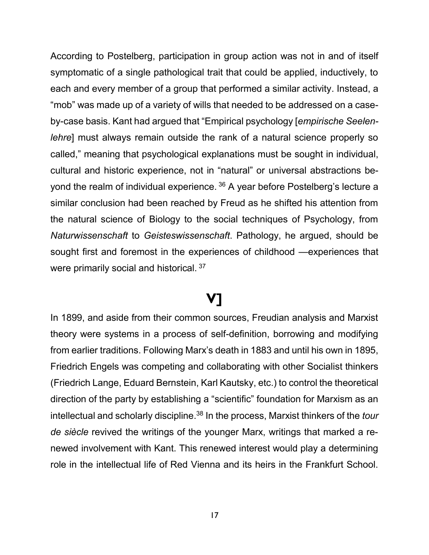According to Postelberg, participation in group action was not in and of itself symptomatic of a single pathological trait that could be applied, inductively, to each and every member of a group that performed a similar activity. Instead, a "mob" was made up of a variety of wills that needed to be addressed on a caseby-case basis. Kant had argued that "Empirical psychology [*empirische Seelenlehre*] must always remain outside the rank of a natural science properly so called," meaning that psychological explanations must be sought in individual, cultural and historic experience, not in "natural" or universal abstractions beyond the realm of individual experience. <sup>36</sup> A year before Postelberg's lecture a similar conclusion had been reached by Freud as he shifted his attention from the natural science of Biology to the social techniques of Psychology, from *Naturwissenschaft* to *Geisteswissenschaft*. Pathology, he argued, should be sought first and foremost in the experiences of childhood —experiences that were primarily social and historical. <sup>37</sup>

#### **V]**

In 1899, and aside from their common sources, Freudian analysis and Marxist theory were systems in a process of self-definition, borrowing and modifying from earlier traditions. Following Marx's death in 1883 and until his own in 1895, Friedrich Engels was competing and collaborating with other Socialist thinkers (Friedrich Lange, Eduard Bernstein, Karl Kautsky, etc.) to control the theoretical direction of the party by establishing a "scientific" foundation for Marxism as an intellectual and scholarly discipline. <sup>38</sup> In the process, Marxist thinkers of the *tour de siècle* revived the writings of the younger Marx, writings that marked a renewed involvement with Kant. This renewed interest would play a determining role in the intellectual life of Red Vienna and its heirs in the Frankfurt School.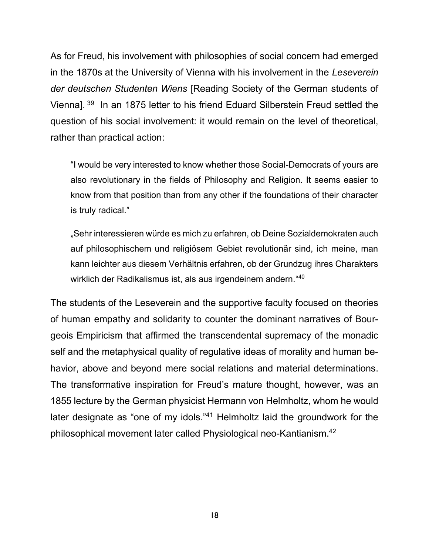As for Freud, his involvement with philosophies of social concern had emerged in the 1870s at the University of Vienna with his involvement in the *Leseverein der deutschen Studenten Wiens* [Reading Society of the German students of Vienna].<sup>39</sup> In an 1875 letter to his friend Eduard Silberstein Freud settled the question of his social involvement: it would remain on the level of theoretical, rather than practical action:

"I would be very interested to know whether those Social-Democrats of yours are also revolutionary in the fields of Philosophy and Religion. It seems easier to know from that position than from any other if the foundations of their character is truly radical."

"Sehr interessieren würde es mich zu erfahren, ob Deine Sozialdemokraten auch auf philosophischem und religiösem Gebiet revolutionär sind, ich meine, man kann leichter aus diesem Verhältnis erfahren, ob der Grundzug ihres Charakters wirklich der Radikalismus ist, als aus irgendeinem andern." $^{\rm 40}$ 

The students of the Leseverein and the supportive faculty focused on theories of human empathy and solidarity to counter the dominant narratives of Bourgeois Empiricism that affirmed the transcendental supremacy of the monadic self and the metaphysical quality of regulative ideas of morality and human behavior, above and beyond mere social relations and material determinations. The transformative inspiration for Freud's mature thought, however, was an 1855 lecture by the German physicist Hermann von Helmholtz, whom he would later designate as "one of my idols."<sup>41</sup> Helmholtz laid the groundwork for the philosophical movement later called Physiological neo-Kantianism. 42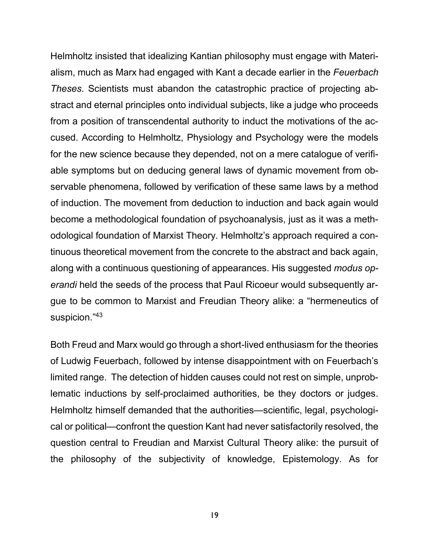Helmholtz insisted that idealizing Kantian philosophy must engage with Materialism, much as Marx had engaged with Kant a decade earlier in the *Feuerbach Theses*. Scientists must abandon the catastrophic practice of projecting abstract and eternal principles onto individual subjects, like a judge who proceeds from a position of transcendental authority to induct the motivations of the accused. According to Helmholtz, Physiology and Psychology were the models for the new science because they depended, not on a mere catalogue of verifiable symptoms but on deducing general laws of dynamic movement from observable phenomena, followed by verification of these same laws by a method of induction. The movement from deduction to induction and back again would become a methodological foundation of psychoanalysis, just as it was a methodological foundation of Marxist Theory. Helmholtz's approach required a continuous theoretical movement from the concrete to the abstract and back again, along with a continuous questioning of appearances. His suggested *modus operandi* held the seeds of the process that Paul Ricoeur would subsequently argue to be common to Marxist and Freudian Theory alike: a "hermeneutics of suspicion." 43

Both Freud and Marx would go through a short-lived enthusiasm for the theories of Ludwig Feuerbach, followed by intense disappointment with on Feuerbach's limited range. The detection of hidden causes could not rest on simple, unproblematic inductions by self-proclaimed authorities, be they doctors or judges. Helmholtz himself demanded that the authorities—scientific, legal, psychological or political—confront the question Kant had never satisfactorily resolved, the question central to Freudian and Marxist Cultural Theory alike: the pursuit of the philosophy of the subjectivity of knowledge, Epistemology. As for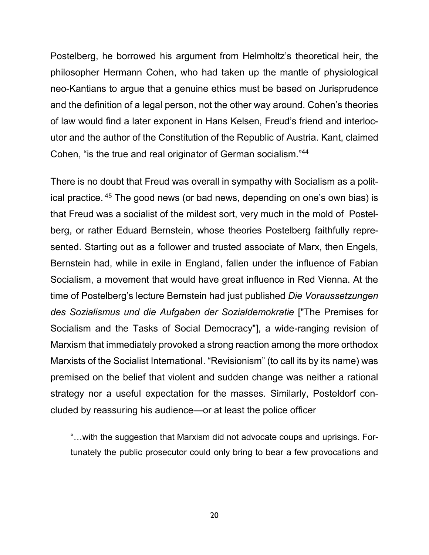Postelberg, he borrowed his argument from Helmholtz's theoretical heir, the philosopher Hermann Cohen, who had taken up the mantle of physiological neo-Kantians to argue that a genuine ethics must be based on Jurisprudence and the definition of a legal person, not the other way around. Cohen's theories of law would find a later exponent in Hans Kelsen, Freud's friend and interlocutor and the author of the Constitution of the Republic of Austria. Kant, claimed Cohen, "is the true and real originator of German socialism."<sup>44</sup>

There is no doubt that Freud was overall in sympathy with Socialism as a political practice. <sup>45</sup> The good news (or bad news, depending on one's own bias) is that Freud was a socialist of the mildest sort, very much in the mold of Postelberg, or rather Eduard Bernstein, whose theories Postelberg faithfully represented. Starting out as a follower and trusted associate of Marx, then Engels, Bernstein had, while in exile in England, fallen under the influence of Fabian Socialism, a movement that would have great influence in Red Vienna. At the time of Postelberg's lecture Bernstein had just published *Die Voraussetzungen des Sozialismus und die Aufgaben der Sozialdemokratie* ["The Premises for Socialism and the Tasks of Social Democracy"], a wide-ranging revision of Marxism that immediately provoked a strong reaction among the more orthodox Marxists of the Socialist International. "Revisionism" (to call its by its name) was premised on the belief that violent and sudden change was neither a rational strategy nor a useful expectation for the masses. Similarly, Posteldorf concluded by reassuring his audience—or at least the police officer

"…with the suggestion that Marxism did not advocate coups and uprisings. Fortunately the public prosecutor could only bring to bear a few provocations and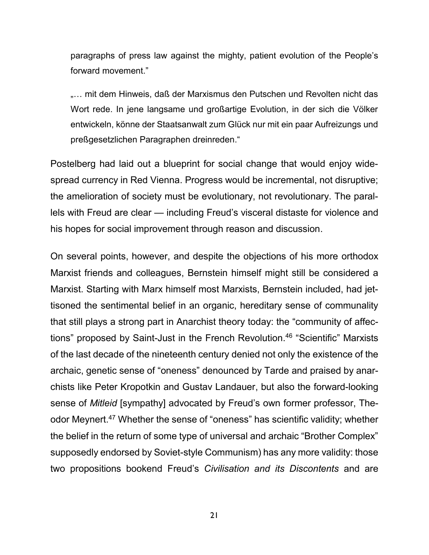paragraphs of press law against the mighty, patient evolution of the People's forward movement."

.... mit dem Hinweis, daß der Marxismus den Putschen und Revolten nicht das Wort rede. In jene langsame und großartige Evolution, in der sich die Völker entwickeln, könne der Staatsanwalt zum Glück nur mit ein paar Aufreizungs und preßgesetzlichen Paragraphen dreinreden."

Postelberg had laid out a blueprint for social change that would enjoy widespread currency in Red Vienna. Progress would be incremental, not disruptive; the amelioration of society must be evolutionary, not revolutionary. The parallels with Freud are clear — including Freud's visceral distaste for violence and his hopes for social improvement through reason and discussion.

On several points, however, and despite the objections of his more orthodox Marxist friends and colleagues, Bernstein himself might still be considered a Marxist. Starting with Marx himself most Marxists, Bernstein included, had jettisoned the sentimental belief in an organic, hereditary sense of communality that still plays a strong part in Anarchist theory today: the "community of affections" proposed by Saint-Just in the French Revolution. <sup>46</sup> "Scientific" Marxists of the last decade of the nineteenth century denied not only the existence of the archaic, genetic sense of "oneness" denounced by Tarde and praised by anarchists like Peter Kropotkin and Gustav Landauer, but also the forward-looking sense of *Mitleid* [sympathy] advocated by Freud's own former professor, Theodor Meynert.<sup>47</sup> Whether the sense of "oneness" has scientific validity; whether the belief in the return of some type of universal and archaic "Brother Complex" supposedly endorsed by Soviet-style Communism) has any more validity: those two propositions bookend Freud's *Civilisation and its Discontents* and are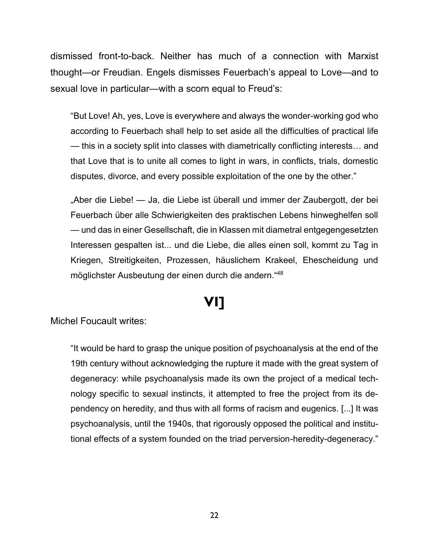dismissed front-to-back. Neither has much of a connection with Marxist thought—or Freudian. Engels dismisses Feuerbach's appeal to Love—and to sexual love in particular—with a scorn equal to Freud's:

"But Love! Ah, yes, Love is everywhere and always the wonder-working god who according to Feuerbach shall help to set aside all the difficulties of practical life — this in a society split into classes with diametrically conflicting interests… and that Love that is to unite all comes to light in wars, in conflicts, trials, domestic disputes, divorce, and every possible exploitation of the one by the other."

"Aber die Liebe! — Ja, die Liebe ist überall und immer der Zaubergott, der bei Feuerbach über alle Schwierigkeiten des praktischen Lebens hinweghelfen soll — und das in einer Gesellschaft, die in Klassen mit diametral entgegengesetzten Interessen gespalten ist... und die Liebe, die alles einen soll, kommt zu Tag in Kriegen, Streitigkeiten, Prozessen, häuslichem Krakeel, Ehescheidung und möglichster Ausbeutung der einen durch die andern." 48

### **VI]**

Michel Foucault writes:

"It would be hard to grasp the unique position of psychoanalysis at the end of the 19th century without acknowledging the rupture it made with the great system of degeneracy: while psychoanalysis made its own the project of a medical technology specific to sexual instincts, it attempted to free the project from its dependency on heredity, and thus with all forms of racism and eugenics. [...] It was psychoanalysis, until the 1940s, that rigorously opposed the political and institutional effects of a system founded on the triad perversion-heredity-degeneracy."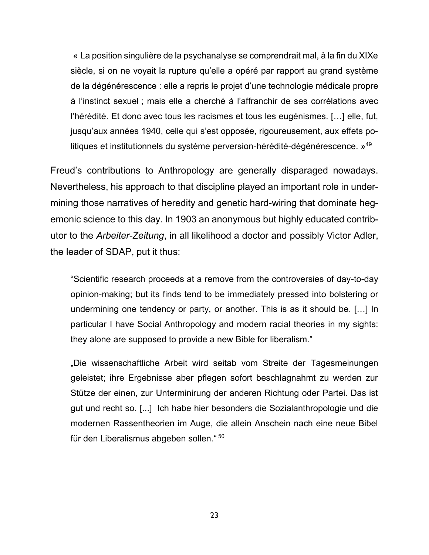« La position singulière de la psychanalyse se comprendrait mal, à la fin du XIXe siècle, si on ne voyait la rupture qu'elle a opéré par rapport au grand système de la dégénérescence : elle a repris le projet d'une technologie médicale propre à l'instinct sexuel ; mais elle a cherché à l'affranchir de ses corrélations avec l'hérédité. Et donc avec tous les racismes et tous les eugénismes. […] elle, fut, jusqu'aux années 1940, celle qui s'est opposée, rigoureusement, aux effets politiques et institutionnels du système perversion-hérédité-dégénérescence. » 49

Freud's contributions to Anthropology are generally disparaged nowadays. Nevertheless, his approach to that discipline played an important role in undermining those narratives of heredity and genetic hard-wiring that dominate hegemonic science to this day. In 1903 an anonymous but highly educated contributor to the *Arbeiter-Zeitung*, in all likelihood a doctor and possibly Victor Adler, the leader of SDAP, put it thus:

"Scientific research proceeds at a remove from the controversies of day-to-day opinion-making; but its finds tend to be immediately pressed into bolstering or undermining one tendency or party, or another. This is as it should be. […] In particular I have Social Anthropology and modern racial theories in my sights: they alone are supposed to provide a new Bible for liberalism."

"Die wissenschaftliche Arbeit wird seitab vom Streite der Tagesmeinungen geleistet; ihre Ergebnisse aber pflegen sofort beschlagnahmt zu werden zur Stütze der einen, zur Unterminirung der anderen Richtung oder Partei. Das ist gut und recht so. [...] Ich habe hier besonders die Sozialanthropologie und die modernen Rassentheorien im Auge, die allein Anschein nach eine neue Bibel für den Liberalismus abgeben sollen." 50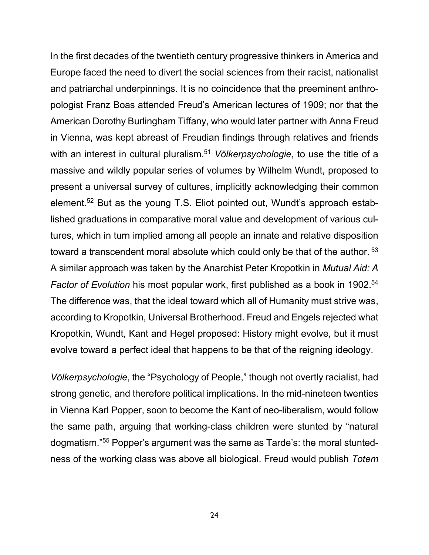In the first decades of the twentieth century progressive thinkers in America and Europe faced the need to divert the social sciences from their racist, nationalist and patriarchal underpinnings. It is no coincidence that the preeminent anthropologist Franz Boas attended Freud's American lectures of 1909; nor that the American Dorothy Burlingham Tiffany, who would later partner with Anna Freud in Vienna, was kept abreast of Freudian findings through relatives and friends with an interest in cultural pluralism. <sup>51</sup> *Völkerpsychologie*, to use the title of a massive and wildly popular series of volumes by Wilhelm Wundt, proposed to present a universal survey of cultures, implicitly acknowledging their common element.<sup>52</sup> But as the young T.S. Eliot pointed out, Wundt's approach established graduations in comparative moral value and development of various cultures, which in turn implied among all people an innate and relative disposition toward a transcendent moral absolute which could only be that of the author.<sup>53</sup> A similar approach was taken by the Anarchist Peter Kropotkin in *Mutual Aid: A Factor of Evolution* his most popular work, first published as a book in 1902.<sup>54</sup> The difference was, that the ideal toward which all of Humanity must strive was, according to Kropotkin, Universal Brotherhood. Freud and Engels rejected what Kropotkin, Wundt, Kant and Hegel proposed: History might evolve, but it must evolve toward a perfect ideal that happens to be that of the reigning ideology.

*Völkerpsychologie*, the "Psychology of People," though not overtly racialist, had strong genetic, and therefore political implications. In the mid-nineteen twenties in Vienna Karl Popper, soon to become the Kant of neo-liberalism, would follow the same path, arguing that working-class children were stunted by "natural dogmatism."<sup>55</sup> Popper's argument was the same as Tarde's: the moral stuntedness of the working class was above all biological. Freud would publish *Totem*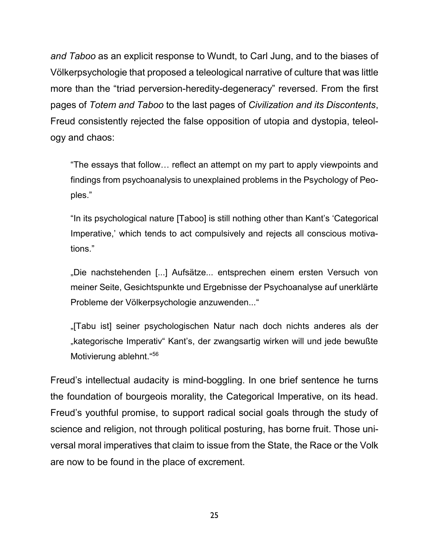*and Taboo* as an explicit response to Wundt, to Carl Jung, and to the biases of Völkerpsychologie that proposed a teleological narrative of culture that was little more than the "triad perversion-heredity-degeneracy" reversed. From the first pages of *Totem and Taboo* to the last pages of *Civilization and its Discontents*, Freud consistently rejected the false opposition of utopia and dystopia, teleology and chaos:

"The essays that follow… reflect an attempt on my part to apply viewpoints and findings from psychoanalysis to unexplained problems in the Psychology of Peoples."

"In its psychological nature [Taboo] is still nothing other than Kant's 'Categorical Imperative,' which tends to act compulsively and rejects all conscious motivations."

"Die nachstehenden [...] Aufsätze... entsprechen einem ersten Versuch von meiner Seite, Gesichtspunkte und Ergebnisse der Psychoanalyse auf unerklärte Probleme der Völkerpsychologie anzuwenden..."

"[Tabu ist] seiner psychologischen Natur nach doch nichts anderes als der "kategorische Imperativ" Kant's, der zwangsartig wirken will und jede bewußte Motivierung ablehnt." 56

Freud's intellectual audacity is mind-boggling. In one brief sentence he turns the foundation of bourgeois morality, the Categorical Imperative, on its head. Freud's youthful promise, to support radical social goals through the study of science and religion, not through political posturing, has borne fruit. Those universal moral imperatives that claim to issue from the State, the Race or the Volk are now to be found in the place of excrement.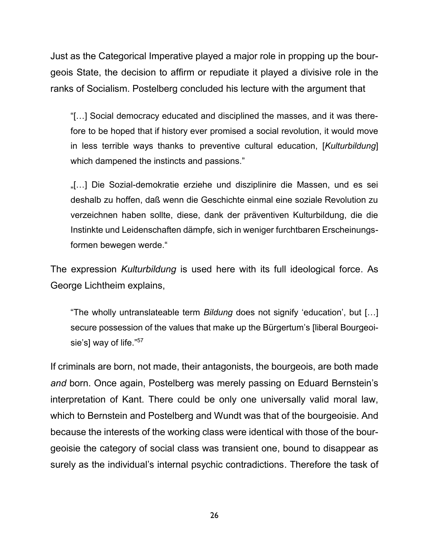Just as the Categorical Imperative played a major role in propping up the bourgeois State, the decision to affirm or repudiate it played a divisive role in the ranks of Socialism. Postelberg concluded his lecture with the argument that

"[…] Social democracy educated and disciplined the masses, and it was therefore to be hoped that if history ever promised a social revolution, it would move in less terrible ways thanks to preventive cultural education, [*Kulturbildung*] which dampened the instincts and passions."

"[…] Die Sozial-demokratie erziehe und disziplinire die Massen, und es sei deshalb zu hoffen, daß wenn die Geschichte einmal eine soziale Revolution zu verzeichnen haben sollte, diese, dank der präventiven Kulturbildung, die die Instinkte und Leidenschaften dämpfe, sich in weniger furchtbaren Erscheinungsformen bewegen werde."

The expression *Kulturbildung* is used here with its full ideological force. As George Lichtheim explains,

"The wholly untranslateable term *Bildung* does not signify 'education', but […] secure possession of the values that make up the Bürgertum's [liberal Bourgeoisie's] way of life."<sup>57</sup>

If criminals are born, not made, their antagonists, the bourgeois, are both made *and* born. Once again, Postelberg was merely passing on Eduard Bernstein's interpretation of Kant. There could be only one universally valid moral law, which to Bernstein and Postelberg and Wundt was that of the bourgeoisie. And because the interests of the working class were identical with those of the bourgeoisie the category of social class was transient one, bound to disappear as surely as the individual's internal psychic contradictions. Therefore the task of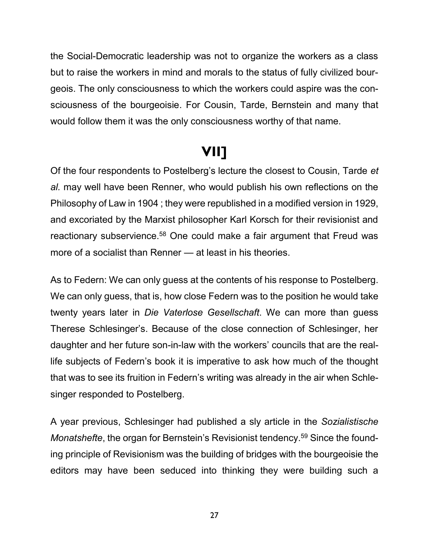the Social-Democratic leadership was not to organize the workers as a class but to raise the workers in mind and morals to the status of fully civilized bourgeois. The only consciousness to which the workers could aspire was the consciousness of the bourgeoisie. For Cousin, Tarde, Bernstein and many that would follow them it was the only consciousness worthy of that name.

### **VII]**

Of the four respondents to Postelberg's lecture the closest to Cousin, Tarde *et al.* may well have been Renner, who would publish his own reflections on the Philosophy of Law in 1904 ; they were republished in a modified version in 1929, and excoriated by the Marxist philosopher Karl Korsch for their revisionist and reactionary subservience.<sup>58</sup> One could make a fair argument that Freud was more of a socialist than Renner — at least in his theories.

As to Federn: We can only guess at the contents of his response to Postelberg. We can only guess, that is, how close Federn was to the position he would take twenty years later in *Die Vaterlose Gesellschaft*. We can more than guess Therese Schlesinger's. Because of the close connection of Schlesinger, her daughter and her future son-in-law with the workers' councils that are the reallife subjects of Federn's book it is imperative to ask how much of the thought that was to see its fruition in Federn's writing was already in the air when Schlesinger responded to Postelberg.

A year previous, Schlesinger had published a sly article in the *Sozialistische Monatshefte*, the organ for Bernstein's Revisionist tendency. <sup>59</sup> Since the founding principle of Revisionism was the building of bridges with the bourgeoisie the editors may have been seduced into thinking they were building such a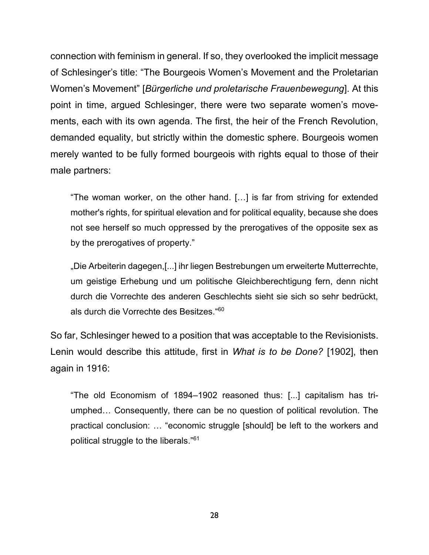connection with feminism in general. If so, they overlooked the implicit message of Schlesinger's title: "The Bourgeois Women's Movement and the Proletarian Women's Movement" [*Bürgerliche und proletarische Frauenbewegung*]. At this point in time, argued Schlesinger, there were two separate women's movements, each with its own agenda. The first, the heir of the French Revolution, demanded equality, but strictly within the domestic sphere. Bourgeois women merely wanted to be fully formed bourgeois with rights equal to those of their male partners:

"The woman worker, on the other hand. […] is far from striving for extended mother's rights, for spiritual elevation and for political equality, because she does not see herself so much oppressed by the prerogatives of the opposite sex as by the prerogatives of property."

"Die Arbeiterin dagegen,[...] ihr liegen Bestrebungen um erweiterte Mutterrechte, um geistige Erhebung und um politische Gleichberechtigung fern, denn nicht durch die Vorrechte des anderen Geschlechts sieht sie sich so sehr bedrückt, als durch die Vorrechte des Besitzes." 60

So far, Schlesinger hewed to a position that was acceptable to the Revisionists. Lenin would describe this attitude, first in *What is to be Done?* [1902], then again in 1916:

"The old Economism of 1894–1902 reasoned thus: [...] capitalism has triumphed… Consequently, there can be no question of political revolution. The practical conclusion: … "economic struggle [should] be left to the workers and political struggle to the liberals." 61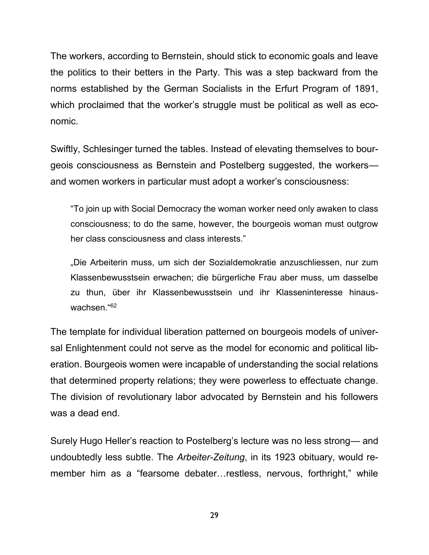The workers, according to Bernstein, should stick to economic goals and leave the politics to their betters in the Party. This was a step backward from the norms established by the German Socialists in the Erfurt Program of 1891, which proclaimed that the worker's struggle must be political as well as economic.

Swiftly, Schlesinger turned the tables. Instead of elevating themselves to bourgeois consciousness as Bernstein and Postelberg suggested, the workers and women workers in particular must adopt a worker's consciousness:

"To join up with Social Democracy the woman worker need only awaken to class consciousness; to do the same, however, the bourgeois woman must outgrow her class consciousness and class interests."

"Die Arbeiterin muss, um sich der Sozialdemokratie anzuschliessen, nur zum Klassenbewusstsein erwachen; die bürgerliche Frau aber muss, um dasselbe zu thun, über ihr Klassenbewusstsein und ihr Klasseninteresse hinauswachsen." 62

The template for individual liberation patterned on bourgeois models of universal Enlightenment could not serve as the model for economic and political liberation. Bourgeois women were incapable of understanding the social relations that determined property relations; they were powerless to effectuate change. The division of revolutionary labor advocated by Bernstein and his followers was a dead end.

Surely Hugo Heller's reaction to Postelberg's lecture was no less strong— and undoubtedly less subtle. The *Arbeiter-Zeitung*, in its 1923 obituary, would remember him as a "fearsome debater…restless, nervous, forthright," while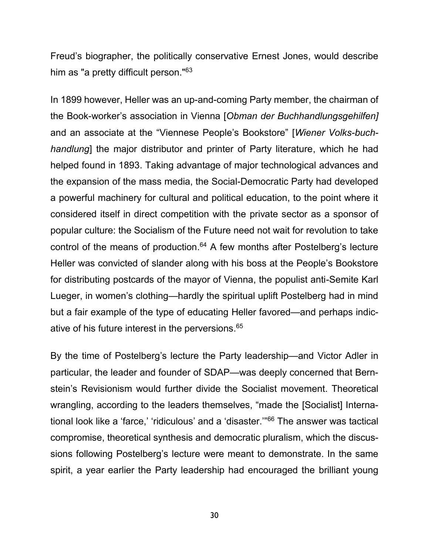Freud's biographer, the politically conservative Ernest Jones, would describe him as "a pretty difficult person."<sup>63</sup>

In 1899 however, Heller was an up-and-coming Party member, the chairman of the Book-worker's association in Vienna [*Obman der Buchhandlungsgehilfen]* and an associate at the "Viennese People's Bookstore" [*Wiener Volks-buchhandlung*] the major distributor and printer of Party literature, which he had helped found in 1893. Taking advantage of major technological advances and the expansion of the mass media, the Social-Democratic Party had developed a powerful machinery for cultural and political education, to the point where it considered itself in direct competition with the private sector as a sponsor of popular culture: the Socialism of the Future need not wait for revolution to take control of the means of production.<sup>64</sup> A few months after Postelberg's lecture Heller was convicted of slander along with his boss at the People's Bookstore for distributing postcards of the mayor of Vienna, the populist anti-Semite Karl Lueger, in women's clothing—hardly the spiritual uplift Postelberg had in mind but a fair example of the type of educating Heller favored—and perhaps indicative of his future interest in the perversions. 65

By the time of Postelberg's lecture the Party leadership—and Victor Adler in particular, the leader and founder of SDAP—was deeply concerned that Bernstein's Revisionism would further divide the Socialist movement. Theoretical wrangling, according to the leaders themselves, "made the [Socialist] International look like a 'farce,' 'ridiculous' and a 'disaster.'"<sup>66</sup> The answer was tactical compromise, theoretical synthesis and democratic pluralism, which the discussions following Postelberg's lecture were meant to demonstrate. In the same spirit, a year earlier the Party leadership had encouraged the brilliant young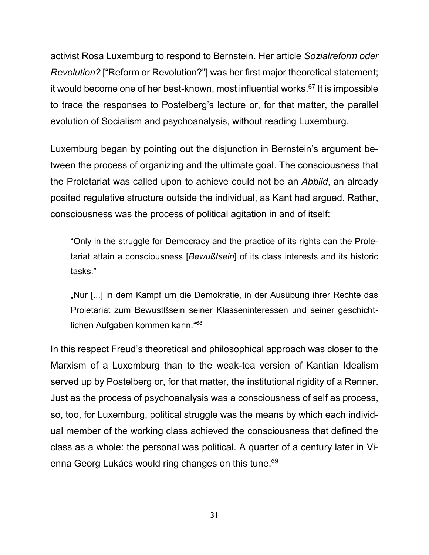activist Rosa Luxemburg to respond to Bernstein. Her article *Sozialreform oder Revolution?* ["Reform or Revolution?"] was her first major theoretical statement; it would become one of her best-known, most influential works. <sup>67</sup> It is impossible to trace the responses to Postelberg's lecture or, for that matter, the parallel evolution of Socialism and psychoanalysis, without reading Luxemburg.

Luxemburg began by pointing out the disjunction in Bernstein's argument between the process of organizing and the ultimate goal. The consciousness that the Proletariat was called upon to achieve could not be an *Abbild*, an already posited regulative structure outside the individual, as Kant had argued. Rather, consciousness was the process of political agitation in and of itself:

"Only in the struggle for Democracy and the practice of its rights can the Proletariat attain a consciousness [*Bewußtsein*] of its class interests and its historic tasks."

"Nur [...] in dem Kampf um die Demokratie, in der Ausübung ihrer Rechte das Proletariat zum Bewustßsein seiner Klasseninteressen und seiner geschichtlichen Aufgaben kommen kann." 68

In this respect Freud's theoretical and philosophical approach was closer to the Marxism of a Luxemburg than to the weak-tea version of Kantian Idealism served up by Postelberg or, for that matter, the institutional rigidity of a Renner. Just as the process of psychoanalysis was a consciousness of self as process, so, too, for Luxemburg, political struggle was the means by which each individual member of the working class achieved the consciousness that defined the class as a whole: the personal was political. A quarter of a century later in Vienna Georg Lukács would ring changes on this tune. 69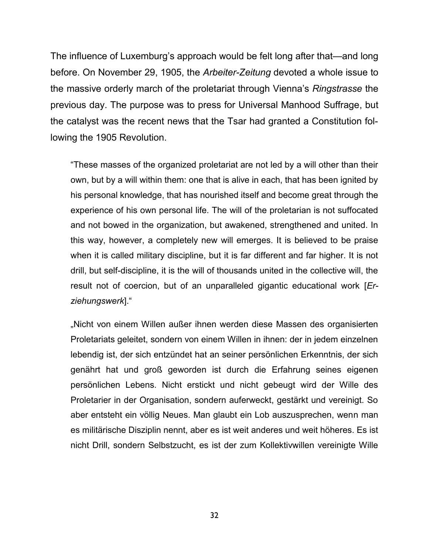The influence of Luxemburg's approach would be felt long after that—and long before. On November 29, 1905, the *Arbeiter-Zeitung* devoted a whole issue to the massive orderly march of the proletariat through Vienna's *Ringstrasse* the previous day. The purpose was to press for Universal Manhood Suffrage, but the catalyst was the recent news that the Tsar had granted a Constitution following the 1905 Revolution.

"These masses of the organized proletariat are not led by a will other than their own, but by a will within them: one that is alive in each, that has been ignited by his personal knowledge, that has nourished itself and become great through the experience of his own personal life. The will of the proletarian is not suffocated and not bowed in the organization, but awakened, strengthened and united. In this way, however, a completely new will emerges. It is believed to be praise when it is called military discipline, but it is far different and far higher. It is not drill, but self-discipline, it is the will of thousands united in the collective will, the result not of coercion, but of an unparalleled gigantic educational work [*Erziehungswerk*]."

"Nicht von einem Willen außer ihnen werden diese Massen des organisierten Proletariats geleitet, sondern von einem Willen in ihnen: der in jedem einzelnen lebendig ist, der sich entzündet hat an seiner persönlichen Erkenntnis, der sich genährt hat und groß geworden ist durch die Erfahrung seines eigenen persönlichen Lebens. Nicht erstickt und nicht gebeugt wird der Wille des Proletarier in der Organisation, sondern auferweckt, gestärkt und vereinigt. So aber entsteht ein völlig Neues. Man glaubt ein Lob auszusprechen, wenn man es militärische Disziplin nennt, aber es ist weit anderes und weit höheres. Es ist nicht Drill, sondern Selbstzucht, es ist der zum Kollektivwillen vereinigte Wille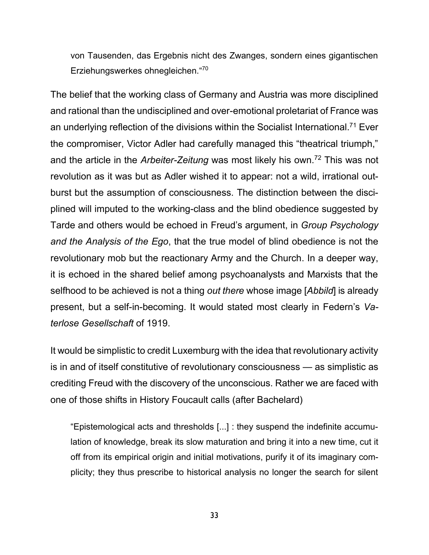von Tausenden, das Ergebnis nicht des Zwanges, sondern eines gigantischen Erziehungswerkes ohnegleichen." 70

The belief that the working class of Germany and Austria was more disciplined and rational than the undisciplined and over-emotional proletariat of France was an underlying reflection of the divisions within the Socialist International.<sup>71</sup> Ever the compromiser, Victor Adler had carefully managed this "theatrical triumph," and the article in the *Arbeiter-Zeitung* was most likely his own.<sup>72</sup> This was not revolution as it was but as Adler wished it to appear: not a wild, irrational outburst but the assumption of consciousness. The distinction between the disciplined will imputed to the working-class and the blind obedience suggested by Tarde and others would be echoed in Freud's argument, in *Group Psychology and the Analysis of the Ego*, that the true model of blind obedience is not the revolutionary mob but the reactionary Army and the Church. In a deeper way, it is echoed in the shared belief among psychoanalysts and Marxists that the selfhood to be achieved is not a thing *out there* whose image [*Abbild*] is already present, but a self-in-becoming. It would stated most clearly in Federn's *Vaterlose Gesellschaft* of 1919.

It would be simplistic to credit Luxemburg with the idea that revolutionary activity is in and of itself constitutive of revolutionary consciousness — as simplistic as crediting Freud with the discovery of the unconscious. Rather we are faced with one of those shifts in History Foucault calls (after Bachelard)

"Epistemological acts and thresholds [...] : they suspend the indefinite accumulation of knowledge, break its slow maturation and bring it into a new time, cut it off from its empirical origin and initial motivations, purify it of its imaginary complicity; they thus prescribe to historical analysis no longer the search for silent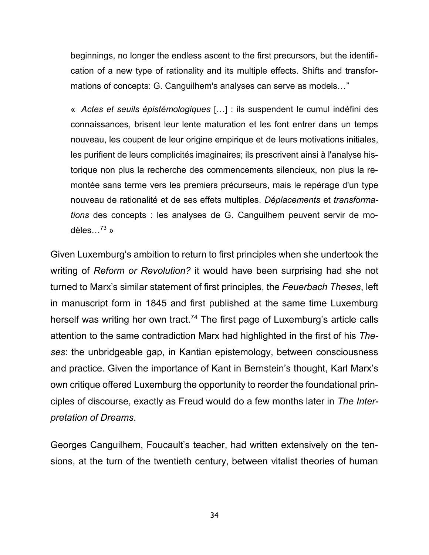beginnings, no longer the endless ascent to the first precursors, but the identification of a new type of rationality and its multiple effects. Shifts and transformations of concepts: G. Canguilhem's analyses can serve as models…"

« *Actes et seuils épistémologiques* […] : ils suspendent le cumul indéfini des connaissances, brisent leur lente maturation et les font entrer dans un temps nouveau, les coupent de leur origine empirique et de leurs motivations initiales, les purifient de leurs complicités imaginaires; ils prescrivent ainsi à l'analyse historique non plus la recherche des commencements silencieux, non plus la remontée sans terme vers les premiers précurseurs, mais le repérage d'un type nouveau de rationalité et de ses effets multiples. *Déplacements* et *transformations* des concepts : les analyses de G. Canguilhem peuvent servir de modèles... $^{73}$  »

Given Luxemburg's ambition to return to first principles when she undertook the writing of *Reform or Revolution?* it would have been surprising had she not turned to Marx's similar statement of first principles, the *Feuerbach Theses*, left in manuscript form in 1845 and first published at the same time Luxemburg herself was writing her own tract.<sup>74</sup> The first page of Luxemburg's article calls attention to the same contradiction Marx had highlighted in the first of his *Theses*: the unbridgeable gap, in Kantian epistemology, between consciousness and practice. Given the importance of Kant in Bernstein's thought, Karl Marx's own critique offered Luxemburg the opportunity to reorder the foundational principles of discourse, exactly as Freud would do a few months later in *The Interpretation of Dreams*.

Georges Canguilhem, Foucault's teacher, had written extensively on the tensions, at the turn of the twentieth century, between vitalist theories of human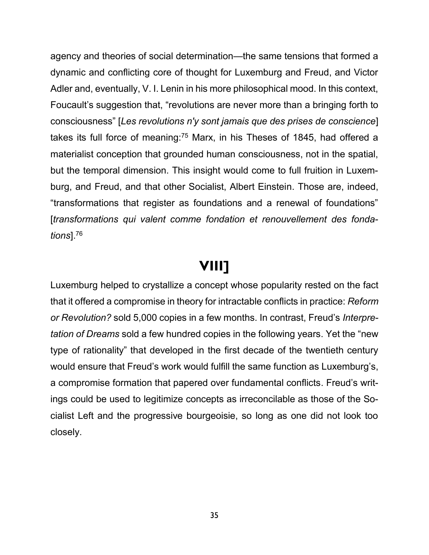agency and theories of social determination—the same tensions that formed a dynamic and conflicting core of thought for Luxemburg and Freud, and Victor Adler and, eventually, V. I. Lenin in his more philosophical mood. In this context, Foucault's suggestion that, "revolutions are never more than a bringing forth to consciousness" [*Les revolutions n'y sont jamais que des prises de conscience*] takes its full force of meaning:<sup>75</sup> Marx, in his Theses of 1845, had offered a materialist conception that grounded human consciousness, not in the spatial, but the temporal dimension. This insight would come to full fruition in Luxemburg, and Freud, and that other Socialist, Albert Einstein. Those are, indeed, "transformations that register as foundations and a renewal of foundations" [*transformations qui valent comme fondation et renouvellement des fondations*].<sup>76</sup>

#### **VIII]**

Luxemburg helped to crystallize a concept whose popularity rested on the fact that it offered a compromise in theory for intractable conflicts in practice: *Reform or Revolution?* sold 5,000 copies in a few months. In contrast, Freud's *Interpretation of Dreams* sold a few hundred copies in the following years. Yet the "new type of rationality" that developed in the first decade of the twentieth century would ensure that Freud's work would fulfill the same function as Luxemburg's, a compromise formation that papered over fundamental conflicts. Freud's writings could be used to legitimize concepts as irreconcilable as those of the Socialist Left and the progressive bourgeoisie, so long as one did not look too closely.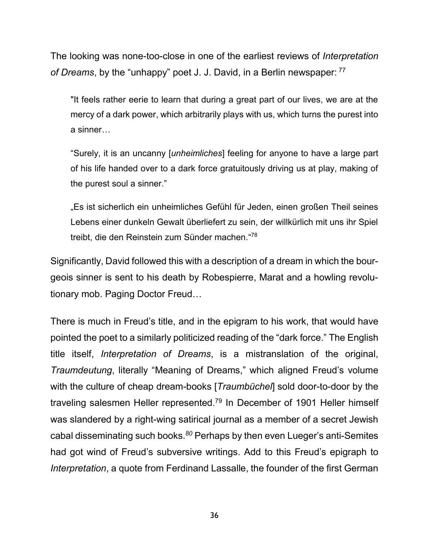The looking was none-too-close in one of the earliest reviews of *Interpretation of Dreams*, by the "unhappy" poet J. J. David, in a Berlin newspaper: <sup>77</sup>

"It feels rather eerie to learn that during a great part of our lives, we are at the mercy of a dark power, which arbitrarily plays with us, which turns the purest into a sinner…

"Surely, it is an uncanny [*unheimliches*] feeling for anyone to have a large part of his life handed over to a dark force gratuitously driving us at play, making of the purest soul a sinner."

"Es ist sicherlich ein unheimliches Gefühl für Jeden, einen großen Theil seines Lebens einer dunkeln Gewalt überliefert zu sein, der willkürlich mit uns ihr Spiel treibt, die den Reinstein zum Sünder machen."<sup>78</sup>

Significantly, David followed this with a description of a dream in which the bourgeois sinner is sent to his death by Robespierre, Marat and a howling revolutionary mob. Paging Doctor Freud…

There is much in Freud's title, and in the epigram to his work, that would have pointed the poet to a similarly politicized reading of the "dark force." The English title itself, *Interpretation of Dreams*, is a mistranslation of the original, *Traumdeutung*, literally "Meaning of Dreams," which aligned Freud's volume with the culture of cheap dream-books [*Traumbüchel*] sold door-to-door by the traveling salesmen Heller represented.<sup>79</sup> In December of 1901 Heller himself was slandered by a right-wing satirical journal as a member of a secret Jewish cabal disseminating such books. *<sup>80</sup>* Perhaps by then even Lueger's anti-Semites had got wind of Freud's subversive writings. Add to this Freud's epigraph to *Interpretation*, a quote from Ferdinand Lassalle, the founder of the first German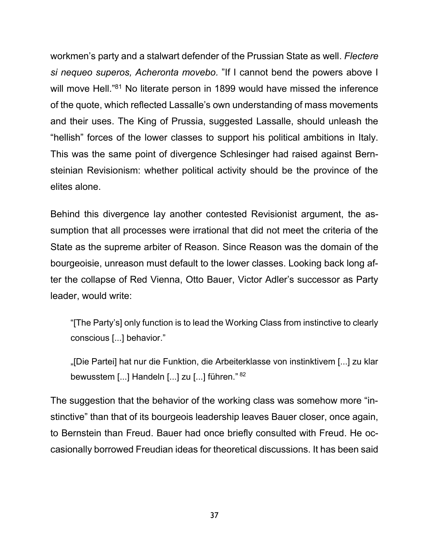workmen's party and a stalwart defender of the Prussian State as well. *Flectere si nequeo superos, Acheronta movebo.* "If I cannot bend the powers above I will move Hell."<sup>81</sup> No literate person in 1899 would have missed the inference of the quote, which reflected Lassalle's own understanding of mass movements and their uses. The King of Prussia, suggested Lassalle, should unleash the "hellish" forces of the lower classes to support his political ambitions in Italy. This was the same point of divergence Schlesinger had raised against Bernsteinian Revisionism: whether political activity should be the province of the elites alone.

Behind this divergence lay another contested Revisionist argument, the assumption that all processes were irrational that did not meet the criteria of the State as the supreme arbiter of Reason. Since Reason was the domain of the bourgeoisie, unreason must default to the lower classes. Looking back long after the collapse of Red Vienna, Otto Bauer, Victor Adler's successor as Party leader, would write:

"[The Party's] only function is to lead the Working Class from instinctive to clearly conscious [...] behavior."

"[Die Partei] hat nur die Funktion, die Arbeiterklasse von instinktivem [...] zu klar bewusstem [...] Handeln [...] zu [...] führen." 82

The suggestion that the behavior of the working class was somehow more "instinctive" than that of its bourgeois leadership leaves Bauer closer, once again, to Bernstein than Freud. Bauer had once briefly consulted with Freud. He occasionally borrowed Freudian ideas for theoretical discussions. It has been said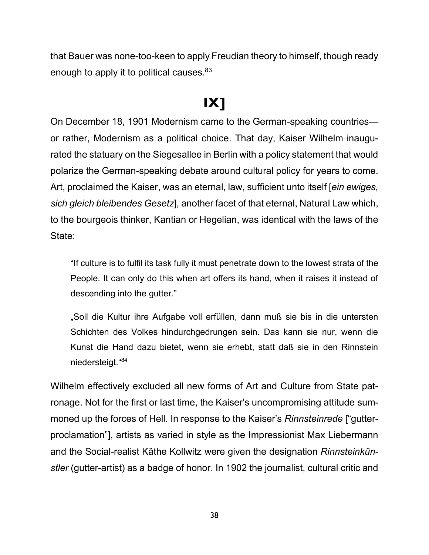that Bauer was none-too-keen to apply Freudian theory to himself, though ready enough to apply it to political causes.<sup>83</sup>

#### **IX]**

On December 18, 1901 Modernism came to the German-speaking countries or rather, Modernism as a political choice. That day, Kaiser Wilhelm inaugurated the statuary on the Siegesallee in Berlin with a policy statement that would polarize the German-speaking debate around cultural policy for years to come. Art, proclaimed the Kaiser, was an eternal, law, sufficient unto itself [*ein ewiges, sich gleich bleibendes Gesetz*], another facet of that eternal, Natural Law which, to the bourgeois thinker, Kantian or Hegelian, was identical with the laws of the State:

"If culture is to fulfil its task fully it must penetrate down to the lowest strata of the People. It can only do this when art offers its hand, when it raises it instead of descending into the gutter."

"Soll die Kultur ihre Aufgabe voll erfüllen, dann muß sie bis in die untersten Schichten des Volkes hindurchgedrungen sein. Das kann sie nur, wenn die Kunst die Hand dazu bietet, wenn sie erhebt, statt daß sie in den Rinnstein niedersteigt." 84

Wilhelm effectively excluded all new forms of Art and Culture from State patronage. Not for the first or last time, the Kaiser's uncompromising attitude summoned up the forces of Hell. In response to the Kaiser's *Rinnsteinrede* ["gutterproclamation"], artists as varied in style as the Impressionist Max Liebermann and the Social-realist Käthe Kollwitz were given the designation *Rinnsteinkünstler* (gutter-artist) as a badge of honor. In 1902 the journalist, cultural critic and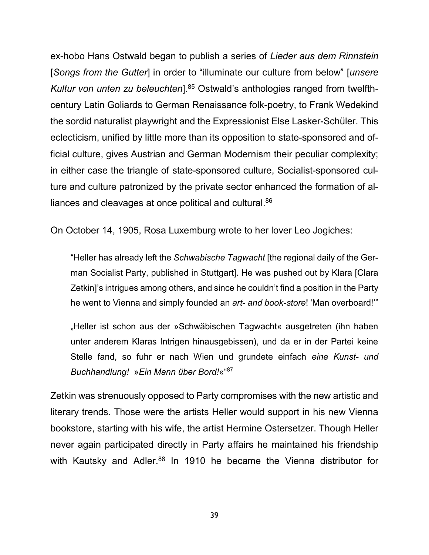ex-hobo Hans Ostwald began to publish a series of *Lieder aus dem Rinnstein* [*Songs from the Gutter*] in order to "illuminate our culture from below" [*unsere Kultur von unten zu beleuchten*]. <sup>85</sup> Ostwald's anthologies ranged from twelfthcentury Latin Goliards to German Renaissance folk-poetry, to Frank Wedekind the sordid naturalist playwright and the Expressionist Else Lasker-Schüler. This eclecticism, unified by little more than its opposition to state-sponsored and official culture, gives Austrian and German Modernism their peculiar complexity; in either case the triangle of state-sponsored culture, Socialist-sponsored culture and culture patronized by the private sector enhanced the formation of alliances and cleavages at once political and cultural.<sup>86</sup>

On October 14, 1905, Rosa Luxemburg wrote to her lover Leo Jogiches:

"Heller has already left the *Schwabische Tagwacht* [the regional daily of the German Socialist Party, published in Stuttgart]. He was pushed out by Klara [Clara Zetkin]'s intrigues among others, and since he couldn't find a position in the Party he went to Vienna and simply founded an *art- and book-store*! 'Man overboard!'"

"Heller ist schon aus der »Schwäbischen Tagwacht« ausgetreten (ihn haben unter anderem Klaras Intrigen hinausgebissen), und da er in der Partei keine Stelle fand, so fuhr er nach Wien und grundete einfach *eine Kunst- und Buchhandlung!* »*Ein Mann über Bord!*«" 87

Zetkin was strenuously opposed to Party compromises with the new artistic and literary trends. Those were the artists Heller would support in his new Vienna bookstore, starting with his wife, the artist Hermine Ostersetzer. Though Heller never again participated directly in Party affairs he maintained his friendship with Kautsky and Adler.<sup>88</sup> In 1910 he became the Vienna distributor for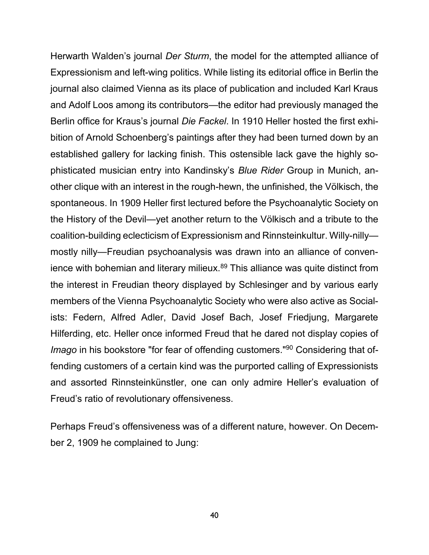Herwarth Walden's journal *Der Sturm*, the model for the attempted alliance of Expressionism and left-wing politics. While listing its editorial office in Berlin the journal also claimed Vienna as its place of publication and included Karl Kraus and Adolf Loos among its contributors—the editor had previously managed the Berlin office for Kraus's journal *Die Fackel*. In 1910 Heller hosted the first exhibition of Arnold Schoenberg's paintings after they had been turned down by an established gallery for lacking finish. This ostensible lack gave the highly sophisticated musician entry into Kandinsky's *Blue Rider* Group in Munich, another clique with an interest in the rough-hewn, the unfinished, the Völkisch, the spontaneous. In 1909 Heller first lectured before the Psychoanalytic Society on the History of the Devil—yet another return to the Völkisch and a tribute to the coalition-building eclecticism of Expressionism and Rinnsteinkultur. Willy-nilly mostly nilly—Freudian psychoanalysis was drawn into an alliance of convenience with bohemian and literary milieux.<sup>89</sup> This alliance was quite distinct from the interest in Freudian theory displayed by Schlesinger and by various early members of the Vienna Psychoanalytic Society who were also active as Socialists: Federn, Alfred Adler, David Josef Bach, Josef Friedjung, Margarete Hilferding, etc. Heller once informed Freud that he dared not display copies of *Imago* in his bookstore "for fear of offending customers."<sup>90</sup> Considering that offending customers of a certain kind was the purported calling of Expressionists and assorted Rinnsteinkünstler, one can only admire Heller's evaluation of Freud's ratio of revolutionary offensiveness.

Perhaps Freud's offensiveness was of a different nature, however. On December 2, 1909 he complained to Jung: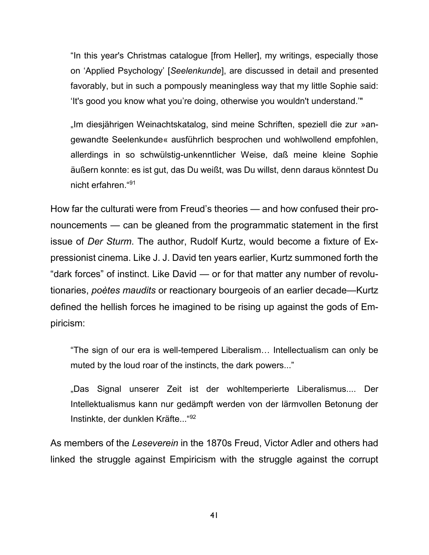"In this year's Christmas catalogue [from Heller], my writings, especially those on 'Applied Psychology' [*Seelenkunde*], are discussed in detail and presented favorably, but in such a pompously meaningless way that my little Sophie said: 'It's good you know what you're doing, otherwise you wouldn't understand.'"

"Im diesjährigen Weinachtskatalog, sind meine Schriften, speziell die zur »angewandte Seelenkunde« ausführlich besprochen und wohlwollend empfohlen, allerdings in so schwülstig-unkenntlicher Weise, daß meine kleine Sophie äußern konnte: es ist gut, das Du weißt, was Du willst, denn daraus könntest Du nicht erfahren."<sup>91</sup>

How far the culturati were from Freud's theories — and how confused their pronouncements — can be gleaned from the programmatic statement in the first issue of *Der Sturm*. The author, Rudolf Kurtz, would become a fixture of Expressionist cinema. Like J. J. David ten years earlier, Kurtz summoned forth the "dark forces" of instinct. Like David — or for that matter any number of revolutionaries, *poètes maudits* or reactionary bourgeois of an earlier decade—Kurtz defined the hellish forces he imagined to be rising up against the gods of Empiricism:

"The sign of our era is well-tempered Liberalism… Intellectualism can only be muted by the loud roar of the instincts, the dark powers..."

"Das Signal unserer Zeit ist der wohltemperierte Liberalismus.... Der Intellektualismus kann nur gedämpft werden von der lärmvollen Betonung der Instinkte, der dunklen Kräfte..."<sup>92</sup>

As members of the *Leseverein* in the 1870s Freud, Victor Adler and others had linked the struggle against Empiricism with the struggle against the corrupt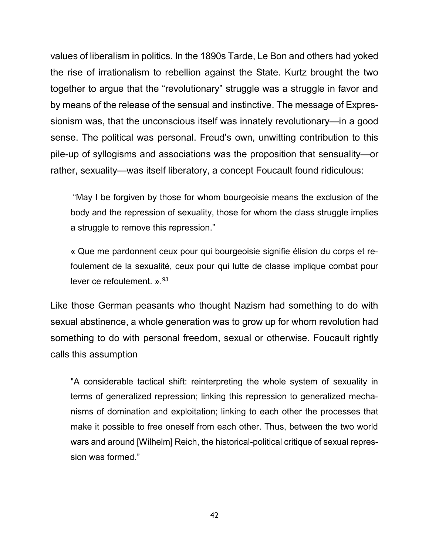values of liberalism in politics. In the 1890s Tarde, Le Bon and others had yoked the rise of irrationalism to rebellion against the State. Kurtz brought the two together to argue that the "revolutionary" struggle was a struggle in favor and by means of the release of the sensual and instinctive. The message of Expressionism was, that the unconscious itself was innately revolutionary—in a good sense. The political was personal. Freud's own, unwitting contribution to this pile-up of syllogisms and associations was the proposition that sensuality—or rather, sexuality—was itself liberatory, a concept Foucault found ridiculous:

"May I be forgiven by those for whom bourgeoisie means the exclusion of the body and the repression of sexuality, those for whom the class struggle implies a struggle to remove this repression."

« Que me pardonnent ceux pour qui bourgeoisie signifie élision du corps et refoulement de la sexualité, ceux pour qui lutte de classe implique combat pour lever ce refoulement.  $v^{93}$ 

Like those German peasants who thought Nazism had something to do with sexual abstinence, a whole generation was to grow up for whom revolution had something to do with personal freedom, sexual or otherwise. Foucault rightly calls this assumption

"A considerable tactical shift: reinterpreting the whole system of sexuality in terms of generalized repression; linking this repression to generalized mechanisms of domination and exploitation; linking to each other the processes that make it possible to free oneself from each other. Thus, between the two world wars and around [Wilhelm] Reich, the historical-political critique of sexual repression was formed."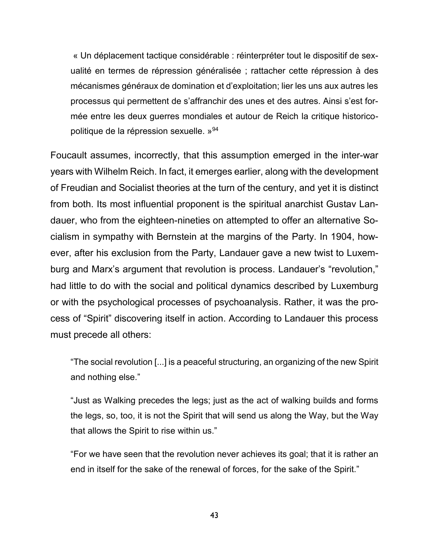« Un déplacement tactique considérable : réinterpréter tout le dispositif de sexualité en termes de répression généralisée ; rattacher cette répression à des mécanismes généraux de domination et d'exploitation; lier les uns aux autres les processus qui permettent de s'affranchir des unes et des autres. Ainsi s'est formée entre les deux guerres mondiales et autour de Reich la critique historicopolitique de la répression sexuelle. »<sup>94</sup>

Foucault assumes, incorrectly, that this assumption emerged in the inter-war years with Wilhelm Reich. In fact, it emerges earlier, along with the development of Freudian and Socialist theories at the turn of the century, and yet it is distinct from both. Its most influential proponent is the spiritual anarchist Gustav Landauer, who from the eighteen-nineties on attempted to offer an alternative Socialism in sympathy with Bernstein at the margins of the Party. In 1904, however, after his exclusion from the Party, Landauer gave a new twist to Luxemburg and Marx's argument that revolution is process. Landauer's "revolution," had little to do with the social and political dynamics described by Luxemburg or with the psychological processes of psychoanalysis. Rather, it was the process of "Spirit" discovering itself in action. According to Landauer this process must precede all others:

"The social revolution [...] is a peaceful structuring, an organizing of the new Spirit and nothing else."

"Just as Walking precedes the legs; just as the act of walking builds and forms the legs, so, too, it is not the Spirit that will send us along the Way, but the Way that allows the Spirit to rise within us."

"For we have seen that the revolution never achieves its goal; that it is rather an end in itself for the sake of the renewal of forces, for the sake of the Spirit."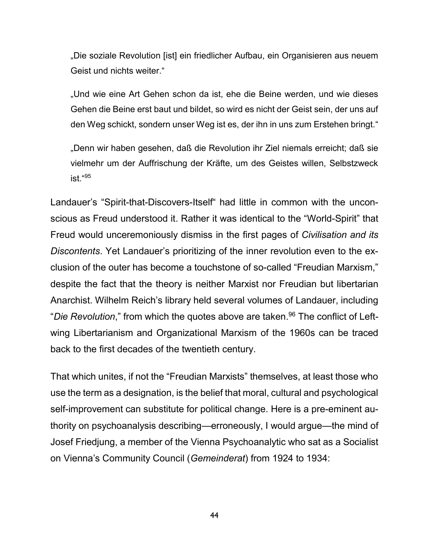"Die soziale Revolution [ist] ein friedlicher Aufbau, ein Organisieren aus neuem Geist und nichts weiter."

"Und wie eine Art Gehen schon da ist, ehe die Beine werden, und wie dieses Gehen die Beine erst baut und bildet, so wird es nicht der Geist sein, der uns auf den Weg schickt, sondern unser Weg ist es, der ihn in uns zum Erstehen bringt."

"Denn wir haben gesehen, daß die Revolution ihr Ziel niemals erreicht; daß sie vielmehr um der Auffrischung der Kräfte, um des Geistes willen, Selbstzweck ist." 95

Landauer's "Spirit-that-Discovers-Itself" had little in common with the unconscious as Freud understood it. Rather it was identical to the "World-Spirit" that Freud would unceremoniously dismiss in the first pages of *Civilisation and its Discontents*. Yet Landauer's prioritizing of the inner revolution even to the exclusion of the outer has become a touchstone of so-called "Freudian Marxism," despite the fact that the theory is neither Marxist nor Freudian but libertarian Anarchist. Wilhelm Reich's library held several volumes of Landauer, including "*Die Revolution*," from which the quotes above are taken. <sup>96</sup> The conflict of Leftwing Libertarianism and Organizational Marxism of the 1960s can be traced back to the first decades of the twentieth century.

That which unites, if not the "Freudian Marxists" themselves, at least those who use the term as a designation, is the belief that moral, cultural and psychological self-improvement can substitute for political change. Here is a pre-eminent authority on psychoanalysis describing—erroneously, I would argue—the mind of Josef Friedjung, a member of the Vienna Psychoanalytic who sat as a Socialist on Vienna's Community Council (*Gemeinderat*) from 1924 to 1934: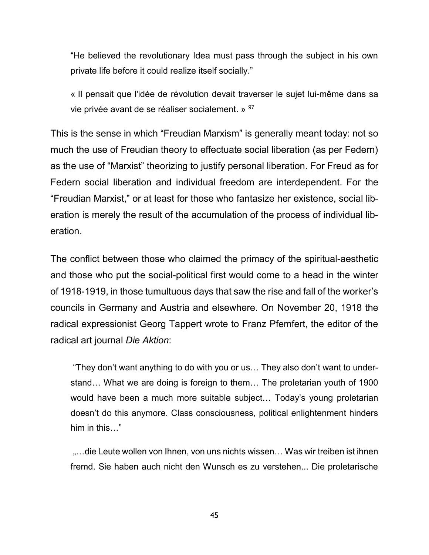"He believed the revolutionary Idea must pass through the subject in his own private life before it could realize itself socially."

« Il pensait que l'idée de révolution devait traverser le sujet lui-même dans sa vie privée avant de se réaliser socialement. » <sup>97</sup>

This is the sense in which "Freudian Marxism" is generally meant today: not so much the use of Freudian theory to effectuate social liberation (as per Federn) as the use of "Marxist" theorizing to justify personal liberation. For Freud as for Federn social liberation and individual freedom are interdependent. For the "Freudian Marxist," or at least for those who fantasize her existence, social liberation is merely the result of the accumulation of the process of individual liberation.

The conflict between those who claimed the primacy of the spiritual-aesthetic and those who put the social-political first would come to a head in the winter of 1918-1919, in those tumultuous days that saw the rise and fall of the worker's councils in Germany and Austria and elsewhere. On November 20, 1918 the radical expressionist Georg Tappert wrote to Franz Pfemfert, the editor of the radical art journal *Die Aktion*:

"They don't want anything to do with you or us… They also don't want to understand… What we are doing is foreign to them… The proletarian youth of 1900 would have been a much more suitable subject… Today's young proletarian doesn't do this anymore. Class consciousness, political enlightenment hinders him in this…"

"...die Leute wollen von Ihnen, von uns nichts wissen... Was wir treiben ist ihnen fremd. Sie haben auch nicht den Wunsch es zu verstehen... Die proletarische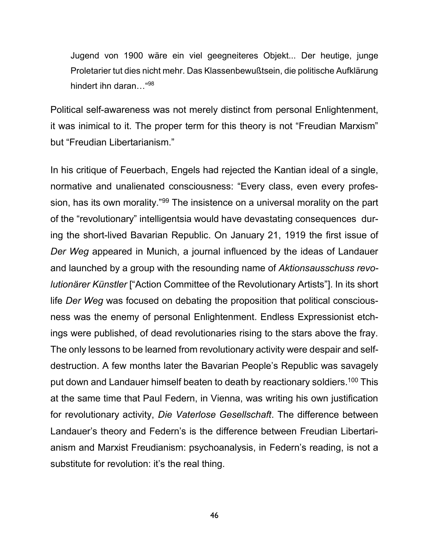Jugend von 1900 wäre ein viel geegneiteres Objekt... Der heutige, junge Proletarier tut dies nicht mehr. Das Klassenbewußtsein, die politische Aufklärung hindert ihn daran…" 98

Political self-awareness was not merely distinct from personal Enlightenment, it was inimical to it. The proper term for this theory is not "Freudian Marxism" but "Freudian Libertarianism."

In his critique of Feuerbach, Engels had rejected the Kantian ideal of a single, normative and unalienated consciousness: "Every class, even every profession, has its own morality."<sup>99</sup> The insistence on a universal morality on the part of the "revolutionary" intelligentsia would have devastating consequences during the short-lived Bavarian Republic. On January 21, 1919 the first issue of *Der Weg* appeared in Munich, a journal influenced by the ideas of Landauer and launched by a group with the resounding name of *Aktionsausschuss revolutionärer Künstler* ["Action Committee of the Revolutionary Artists"]. In its short life *Der Weg* was focused on debating the proposition that political consciousness was the enemy of personal Enlightenment. Endless Expressionist etchings were published, of dead revolutionaries rising to the stars above the fray. The only lessons to be learned from revolutionary activity were despair and selfdestruction. A few months later the Bavarian People's Republic was savagely put down and Landauer himself beaten to death by reactionary soldiers.<sup>100</sup> This at the same time that Paul Federn, in Vienna, was writing his own justification for revolutionary activity, *Die Vaterlose Gesellschaft*. The difference between Landauer's theory and Federn's is the difference between Freudian Libertarianism and Marxist Freudianism: psychoanalysis, in Federn's reading, is not a substitute for revolution: it's the real thing.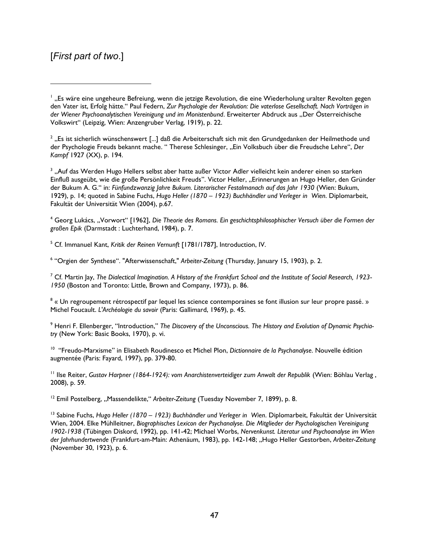#### [*First part of two*.]

 $\overline{a}$ 

2 "Es ist sicherlich wünschenswert [...] daß die Arbeiterschaft sich mit den Grundgedanken der Heilmethode und der Psychologie Freuds bekannt mache. "Therese Schlesinger, "Ein Volksbuch über die Freudsche Lehre", Der *Kampf* 1927 (XX), p. 194.

3 "Auf das Werden Hugo Hellers selbst aber hatte außer Victor Adler vielleicht kein anderer einen so starken Einfluß ausgeübt, wie die große Persönlichkeit Freuds". Victor Heller, "Erinnerungen an Hugo Heller, den Gründer der Bukum A. G." in: *Fünfundzwanzig Jahre Bukum. Literarischer Festalmanach auf das Jahr 1930* (Wien: Bukum, 1929), p. 14; quoted in Sabine Fuchs, *Hugo Heller (1870 – 1923) Buchhändler und Verleger in Wien*. Diplomarbeit, Fakultät der Universität Wien (2004), p.67.

<sup>4</sup> Georg Lukács, "Vorwort" [1962], *Die Theorie des Romans. Ein geschichtsphilosophischer Versuch über die Formen der großen Epik* (Darmstadt : Luchterhand, 1984), p. 7.

<sup>5</sup> Cf. Immanuel Kant, *Kritik der Reinen Vernunft* [1781/1787], Introduction, IV.

6 "Orgien der Synthese". "Afterwissenschaft," *Arbeiter-Zeitung* (Thursday, January 15, 1903), p. 2.

<sup>7</sup> Cf. Martin Jay, *The Dialectical Imagination. A History of the Frankfurt School and the Institute of Social Research, 1923- 1950* (Boston and Toronto: Little, Brown and Company, 1973), p. 86.

 $^8$  « Un regroupement rétrospectif par lequel les science contemporaines se font illusion sur leur propre passé. » Michel Foucault. *L'Archéologie du savoir* (Paris: Gallimard, 1969), p. 45.

<sup>9</sup> Henri F. Ellenberger, "Introduction," The Discovery of the Unconscious. The History and Evolution of Dynamic Psychia*try* (New York: Basic Books, 1970), p. vi.

<sup>10</sup> "Freudo-Marxisme" in Elisabeth Roudinesco et Michel Plon, Dictionnaire de la Psychanalyse. Nouvelle édition augmentée (Paris: Fayard, 1997), pp. 379-80.

<sup>11</sup> Ilse Reiter, *Gustav Harpner (1864-1924): vom Anarchistenverteidiger zum Anwalt der Republik* (Wien: Böhlau Verlag , 2008), p. 59.

<sup>12</sup> Emil Postelberg, "Massendelikte," Arbeiter-Zeitung (Tuesday November 7, 1899), p. 8.

<sup>13</sup> Sabine Fuchs, *Hugo Heller (1870 – 1923) Buchhändler und Verleger in Wien*. Diplomarbeit, Fakultät der Universität Wien, 2004. Elke Mühlleitner, *Biographisches Lexicon der Psychanalyse. Die Mitglieder der Psychologischen Vereinigung 1902-1938* (Tübingen Diskord, 1992), pp. 141-42; Michael Worbs, *Nervenkunst. Literatur und Psychoanalyse im Wien der Jahrhundertwende* (Frankfurt-am-Main: Athenäum, 1983), pp. 142-148; "Hugo Heller Gestorben, *Arbeiter-Zeitung* (November 30, 1923), p. 6.

<sup>&</sup>lt;sup>1</sup> "Es wäre eine ungeheure Befreiung, wenn die jetzige Revolution, die eine Wiederholung uralter Revolten gegen den Vater ist, Erfolg hätte." Paul Federn, *Zur Psychologie der Revolution: Die vaterlose Gesellschaft. Nach Vorträgen in der Wiener Psychoanalytischen Vereinigung und im Monistenbund*. Erweiterter Abdruck aus "Der Österreichische Volkswirt" (Leipzig, Wien: Anzengruber Verlag, 1919), p. 22.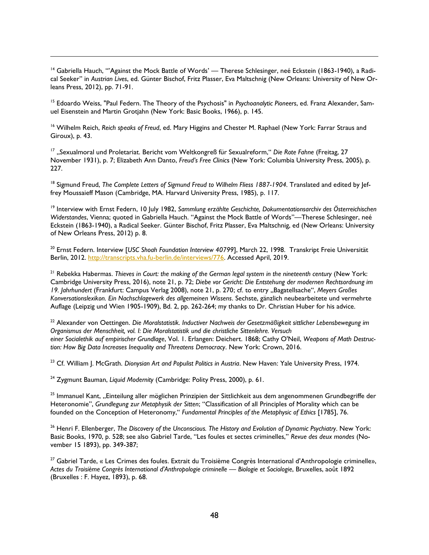<sup>14</sup> Gabriella Hauch, "'Against the Mock Battle of Words' — Therese Schlesinger, neé Eckstein (1863-1940), a Radical Seeker" in *Austrian Lives*, ed. Günter Bischof, Fritz Plasser, Eva Maltschnig (New Orleans: University of New Orleans Press, 2012), pp. 71-91.

 $\overline{a}$ 

<sup>15</sup> Edoardo Weiss, "Paul Federn. The Theory of the Psychosis" in *Psychoanalytic Pioneers*, ed. Franz Alexander, Samuel Eisenstein and Martin Grotjahn (New York: Basic Books, 1966), p. 145.

<sup>16</sup> Wilhelm Reich, *Reich speaks of Freud*, ed. Mary Higgins and Chester M. Raphael (New York: Farrar Straus and Giroux), p. 43.

<sup>17</sup> "Sexualmoral und Proletariat. Bericht vom Weltkongreß für Sexualreform," Die Rote Fahne (Freitag, 27 November 1931), p. 7; Elizabeth Ann Danto, *Freud's Free Clinic*s (New York: Columbia University Press, 2005), p. 227.

<sup>18</sup> Sigmund Freud, *The Complete Letters of Sigmund Freud to Wilhelm Fliess 1887-1904*. Translated and edited by Jeffrey Moussaieff Mason (Cambridge, MA. Harvard University Press, 1985), p. 117.

<sup>19</sup> Interview with Ernst Federn, 10 July 1982, *Sammlung erzählte Geschichte, Dokumentationsarchiv des Österreichischen Widerstandes*, Vienna; quoted in Gabriella Hauch. "Against the Mock Battle of Words"—Therese Schlesinger, neé Eckstein (1863-1940), a Radical Seeker. Günter Bischof, Fritz Plasser, Eva Maltschnig, ed (New Orleans: University of New Orleans Press, 2012) p. 8.

<sup>20</sup> Ernst Federn. Interview [*USC Shoah Foundation Interview 40799*], March 22, 1998. Transkript Freie Universität Berlin, 2012. [http://transcripts.vha.fu-berlin.de/interviews/776.](http://transcripts.vha.fu-berlin.de/interviews/776) Accessed April, 2019.

<sup>21</sup> Rebekka Habermas. *Thieves in Court: the making of the German legal system in the nineteenth century (New York:* Cambridge University Press, 2016), note 21, p. 72; *Diebe vor Gericht: Die Entstehung der modernen Rechtsordnung im 19. Jahrhundert* (Frankfurt: Campus Verlag 2008), note 21, p. 270; cf. to entry "Bagatellsache", *Meyers Großes Konversationslexikon. Ein Nachschlagewerk des allgemeinen Wissens*. Sechste, gänzlich neubearbeitete und vermehrte Auflage (Leipzig und Wien 1905-1909), Bd. 2, pp. 262-264; my thanks to Dr. Christian Huber for his advice.

<sup>22</sup> Alexander von Oettingen. *Die Moralstatistik. Inductiver Nachweis der Gesetzmäßigkeit sittlicher Lebensbewegung im Organismus der Menschheit, vol. I: Die Moralstatistik und die christliche Sittenlehre. Versuch einer Socialethik auf empirischer Grundlage*, Vol. 1. Erlangen: Deichert. 1868; Cathy O'Neil, *Weapons of Math Destruction: How Big Data Increases Inequality and Threatens Democracy*. New York: Crown, 2016.

<sup>23</sup> Cf. William J. McGrath. *Dionysian Art and Populist Politics in Austria*. New Haven: Yale University Press, 1974.

<sup>24</sup> Zygmunt Bauman, *Liquid Modernity* (Cambridge: Polity Press, 2000), p. 61.

<sup>25</sup> Immanuel Kant, "Einteilung aller möglichen Prinzipien der Sittlichkeit aus dem angenommenen Grundbegriffe der Heteronomie", *Grundlegung zur Metaphysik der Sitten*; "Classification of all Principles of Morality which can be founded on the Conception of Heteronomy," *Fundamental Principles of the Metaphysic of Ethics* [1785], 76.

<sup>26</sup> Henri F. Ellenberger, *The Discovery of the Unconscious. The History and Evolution of Dynamic Psychiatry*. New York: Basic Books, 1970, p. 528; see also Gabriel Tarde, "Les foules et sectes criminelles," *Revue des deux mondes* (November 15 1893), pp. 349-387;

<sup>27</sup> Gabriel Tarde, « Les Crimes des foules. Extrait du Troisième Congrès International d'Anthropologie criminelle», *Actes du Troisième Congrès International d'Anthropologie criminelle — Biologie et Sociologie*, Bruxelles, août 1892 (Bruxelles : F. Hayez, 1893), p. 68.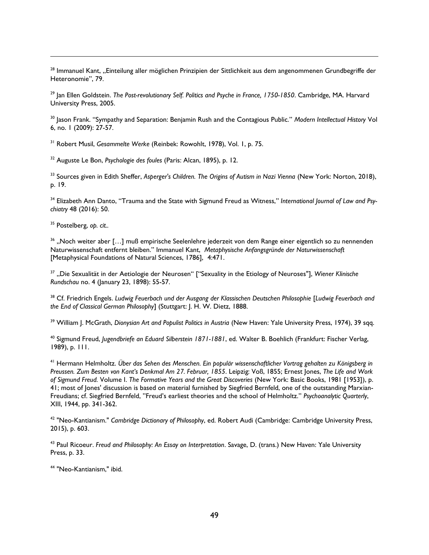<sup>28</sup> Immanuel Kant, "Einteilung aller möglichen Prinzipien der Sittlichkeit aus dem angenommenen Grundbegriffe der Heteronomie", 79.

<sup>29</sup> Jan Ellen Goldstein. *The Post-revolutionary Self. Politics and Psyche in France, 1750-1850*. Cambridge, MA. Harvard University Press, 2005.

<sup>30</sup> Jason Frank. "Sympathy and Separation: Benjamin Rush and the Contagious Public." *Modern Intellectual History* Vol 6, no. 1 (2009): 27-57.

<sup>31</sup> Robert Musil, *Gesammelte Werke* (Reinbek: Rowohlt, 1978), Vol. 1, p. 75.

<sup>32</sup> Auguste Le Bon, *Psychologie des foules* (Paris: Alcan, 1895), p. 12.

<sup>33</sup> Sources given in Edith Sheffer, *Asperger's Children. The Origins of Autism in Nazi Vienna* (New York: Norton, 2018), p. 19.

<sup>34</sup> Elizabeth Ann Danto, "Trauma and the State with Sigmund Freud as Witness," *International Journal of Law and Psychiatry* 48 (2016): 50.

<sup>35</sup> Postelberg, *op. cit..*

 $\overline{a}$ 

<sup>36</sup> "Noch weiter aber […] muß empirische Seelenlehre jederzeit von dem Range einer eigentlich so zu nennenden Naturwissenschaft entfernt bleiben." Immanuel Kant, *Metaphysische Anfangsgründe der Naturwissenschaft* [Metaphysical Foundations of Natural Sciences, 1786], 4:471.

<sup>37</sup> "Die Sexualität in der Aetiologie der Neurosen" ["Sexuality in the Etiology of Neuroses"], Wiener Klinische *Rundschau* no. 4 (January 23, 1898): 55-57.

<sup>38</sup> Cf. Friedrich Engels. *Ludwig Feuerbach und der Ausgang der Klassischen Deutschen Philosophie* [*Ludwig Feuerbach and the End of Classical German Philosophy*] (Stuttgart: J. H. W. Dietz, 1888.

<sup>39</sup> William J. McGrath, *Dionysian Art and Populist Politics in Austria* (New Haven: Yale University Press, 1974), 39 sqq.

<sup>40</sup> Sigmund Freud, *Jugendbriefe an Eduard Silberstein 1871-1881*, ed. Walter B. Boehlich (Frankfurt: Fischer Verlag, 1989), p. 111.

<sup>41</sup> Hermann Helmholtz. *Über das Sehen des Menschen. Ein populär wissenschaftlicher Vortrag gehalten zu Königsberg in Preussen. Zum Besten von Kant's Denkmal Am 27. Februar, 1855*. Leipzig: Voß, 1855; Ernest Jones, *The Life and Work of Sigmund Freud.* Volume I. *The Formative Years and the Great Discoveries* (New York: Basic Books, 1981 [1953]), p. 41; most of Jones' discussion is based on material furnished by Siegfried Bernfeld, one of the outstanding Marxian-Freudians; cf. Siegfried Bernfeld, "Freud's earliest theories and the school of Helmholtz." *Psychoanalytic Quarterly*, XIII, 1944, pp. 341-362.

<sup>42</sup> "Neo-Kantianism." *Cambridge Dictionary of Philosophy*, ed. Robert Audi (Cambridge: Cambridge University Press, 2015), p. 603.

<sup>43</sup> Paul Ricoeur. *Freud and Philosophy: An Essay on Interpretation*. Savage, D. (trans.) New Haven: Yale University Press, p. 33.

<sup>44</sup> "Neo-Kantianism," ibid.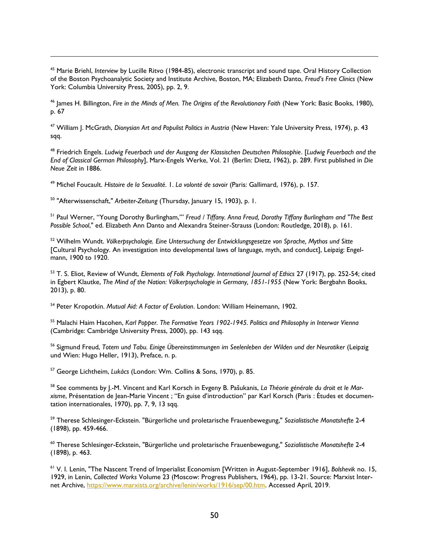<sup>45</sup> Marie Briehl, *Interview* by Lucille Ritvo (1984-85), electronic transcript and sound tape. Oral History Collection of the Boston Psychoanalytic Society and Institute Archive, Boston, MA; Elizabeth Danto, *Freud's Free Clinics* (New York: Columbia University Press, 2005), pp. 2, 9.

<sup>46</sup> James H. Billington, *Fire in the Minds of Men. The Origins of the Revolutionary Faith* (New York: Basic Books, 1980), p. 67

<sup>47</sup> William J. McGrath, *Dionysian Art and Populist Politics in Austria* (New Haven: Yale University Press, 1974), p. 43 sqq.

<sup>48</sup> Friedrich Engels. *Ludwig Feuerbach und der Ausgang der Klassischen Deutschen Philosophie*. [*Ludwig Feuerbach and the End of Classical German Philosophy*], Marx-Engels Werke, Vol. 21 (Berlin: Dietz, 1962), p. 289. First published in *Die Neue Zeit* in 1886.

<sup>49</sup> Michel Foucault. *Histoire de la Sexualité*. 1. *La volonté de savoir* (Paris: Gallimard, 1976), p. 157.

<sup>50</sup> "Afterwissenschaft," *Arbeiter-Zeitung* (Thursday, January 15, 1903), p. 1.

 $\overline{a}$ 

<sup>51</sup> Paul Werner, "Young Dorothy Burlingham,'" *Freud / Tiffany. Anna Freud, Dorothy Tiffany Burlingham and "The Best Possible School*," ed. Elizabeth Ann Danto and Alexandra Steiner-Strauss (London: Routledge, 2018), p. 161.

<sup>52</sup> Wilhelm Wundt. *Völkerpsychologie. Eine Untersuchung der Entwicklungsgesetze von Sprache, Mythos und Sitte* [Cultural Psychology. An investigation into developmental laws of language, myth, and conduct], Leipzig: Engelmann, 1900 to 1920.

<sup>53</sup> T. S. Eliot, Review of Wundt, *Elements of Folk Psychology. International Journal of Ethics* 27 (1917), pp. 252-54; cited in Egbert Klautke, *The Mind of the Nation: Völkerpsychologie in Germany, 1851-1955* (New York: Bergbahn Books, 2013), p. 80.

<sup>54</sup> Peter Kropotkin. *Mutual Aid: A Factor of Evolution*. London: William Heinemann, 1902.

<sup>55</sup> Malachi Haim Hacohen, *Karl Popper. The Formative Years 1902-1945. Politics and Philosophy in Interwar Vienna* (Cambridge: Cambridge University Press, 2000), pp. 143 sqq.

<sup>56</sup> Sigmund Freud, *Totem und Tabu. Einige Übereinstimmungen im Seelenleben der Wilden und der Neurotiker* (Leipzig und Wien: Hugo Heller, 1913), Preface, n. p.

<sup>57</sup> George Lichtheim, *Lukács* (London: Wm. Collins & Sons, 1970), p. 85.

<sup>58</sup> See comments by J.-M. Vincent and Karl Korsch in Evgeny B. Pašukanis, *La Théorie générale du droit et le Marxisme*, Présentation de Jean-Marie Vincent ; "En guise d'introduction" par Karl Korsch (Paris : Études et documentation internationales, 1970), pp. 7, 9, 13 sqq.

<sup>59</sup> Therese Schlesinger-Eckstein. "Bürgerliche und proletarische Frauenbewegung," *Sozialistische Monatshefte* 2-4 (1898), pp. 459-466.

<sup>60</sup> Therese Schlesinger-Eckstein, "Bürgerliche und proletarische Frauenbewegung," *Sozialistische Monatshefte* 2-4 (1898), p. 463.

<sup>61</sup> V. I. Lenin, "The Nascent Trend of Imperialist Economism [Written in August-September 1916], *Bolshevik* no. 15, 1929, in Lenin, *Collected Works* Volume 23 (Moscow: Progress Publishers, 1964), pp. 13-21. Source: Marxist Internet Archive, [https://www.marxists.org/archive/lenin/works/1916/sep/00.htm.](https://www.marxists.org/archive/lenin/works/1916/sep/00.htm) Accessed April, 2019.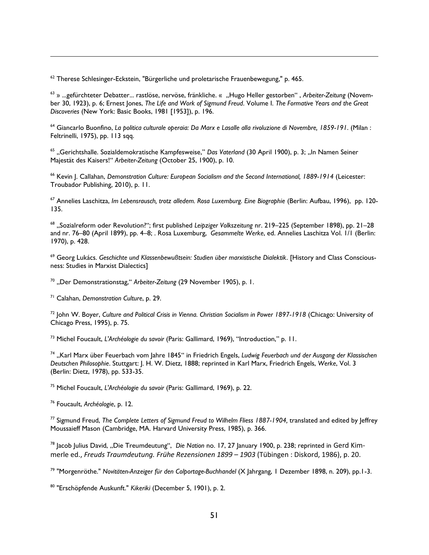<sup>62</sup> Therese Schlesinger-Eckstein, "Bürgerliche und proletarische Frauenbewegung," p. 465.

<sup>63</sup> » ...gefürchteter Debatter... rastlöse, nervöse, fränkliche. « "Hugo Heller gestorben", Arbeiter-Zeitung (November 30, 1923), p. 6; Ernest Jones, *The Life and Work of Sigmund Freud*. Volume I. *The Formative Years and the Great Discoveries* (New York: Basic Books, 1981 [1953]), p. 196.

<sup>64</sup> Giancarlo Buonfino, *La politica culturale operaia: Da Marx e Lasalle alla rivoluzione di Novembre, 1859-191*. (Milan : Feltrinelli, 1975), pp. 113 sqq.

<sup>65</sup> "Gerichtshalle. Sozialdemokratische Kampfesweise," Das Vaterland (30 April 1900), p. 3; "In Namen Seiner Majestät des Kaisers!" *Arbeiter-Zeitung* (October 25, 1900), p. 10.

<sup>66</sup> Kevin J. Callahan, *Demonstration Culture: European Socialism and the Second International, 1889-1914* (Leicester: Troubador Publishing, 2010), p. 11.

<sup>67</sup> Annelies Laschitza, *Im Lebensrausch, trotz alledem. Rosa Luxemburg. Eine Biographie* (Berlin: Aufbau, 1996), pp. 120- 135.

<sup>68</sup> "Sozialreform oder Revolution?"; first published *Leipziger Volkszeitung* nr. 219–225 (September 1898), pp. 21–28 and nr. 76–80 (April 1899), pp. 4–8; . Rosa Luxemburg, *Gesammelte Werke*, ed. Annelies Laschitza Vol. 1/1 (Berlin: 1970), p. 428.

<sup>69</sup> Georg Lukács. *Geschichte und Klassenbewußtsein: Studien über marxistische Dialektik*. [History and Class Consciousness: Studies in Marxist Dialectics]

<sup>70</sup> "Der Demonstrationstag," Arbeiter-Zeitung (29 November 1905), p. 1.

<sup>71</sup> Calahan, *Demonstration Culture*, p. 29.

 $\overline{a}$ 

<sup>72</sup> John W. Boyer, *Culture and Political Crisis in Vienna. Christian Socialism in Power 1897-1918* (Chicago: University of Chicago Press, 1995), p. 75.

<sup>73</sup> Michel Foucault, *L'Archéologie du savoir* (Paris: Gallimard, 1969), "Introduction," p. 11.

<sup>74</sup> "Karl Marx über Feuerbach vom Jahre 1845" in Friedrich Engels, *Ludwig Feuerbach und der Ausgang der Klassischen Deutschen Philosophie*. Stuttgart: J. H. W. Dietz, 1888; reprinted in Karl Marx, Friedrich Engels, *Werke*, Vol. 3 (Berlin: Dietz, 1978), pp. 533-35.

<sup>75</sup> Michel Foucault, *L'Archéologie du savoir* (Paris: Gallimard, 1969), p. 22.

<sup>76</sup> Foucault, *Archéologie*, p. 12.

<sup>77</sup> Sigmund Freud, *The Complete Letters of Sigmund Freud to Wilhelm Fliess 1887-1904,* translated and edited by Jeffrey Moussaieff Mason (Cambridge, MA. Harvard University Press, 1985), p. 366.

<sup>78</sup> Jacob Julius David, "Die Treumdeutung", *Die Nation* no. 17, 27 January 1900, p. 238; reprinted in Gerd Kimmerle ed., *Freuds Traumdeutung. Frühe Rezensionen 1899 – 1903* (Tübingen : Diskord, 1986), p. 20.

<sup>79</sup> "Morgenröthe." *Novitäten-Anzeiger für den Colportage-Buchhandel* (X Jahrgang, 1 Dezember 1898, n. 209), pp.1-3.

<sup>80</sup> "Erschöpfende Auskunft." *Kikeriki* (December 5, 1901), p. 2.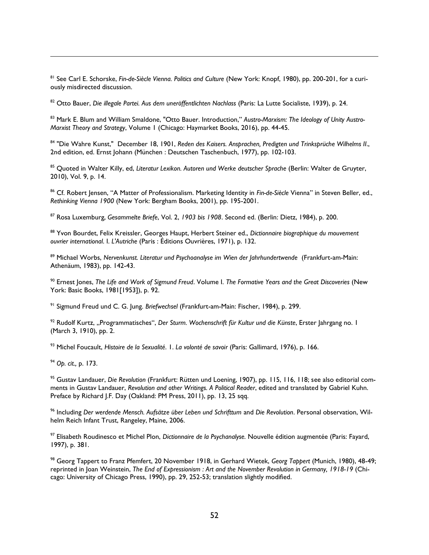<sup>81</sup> See Carl E. Schorske, *Fin-de-Siècle Vienna. Politics and Culture* (New York: Knopf, 1980), pp. 200-201, for a curiously misdirected discussion.

<sup>82</sup> Otto Bauer, *Die illegale Partei. Aus dem uneröffentlichten Nachlass* (Paris: La Lutte Socialiste, 1939), p. 24.

<sup>83</sup> Mark E. Blum and William Smaldone, "Otto Bauer. Introduction," *Austro-Marxism: The Ideology of Unity Austro-Marxist Theory and Strategy*, Volume 1 (Chicago: Haymarket Books, 2016), pp. 44-45.

<sup>84</sup> "Die Wahre Kunst," December 18, 1901, *Reden des Kaisers. Ansprachen, Predigten und Trinksprüche Wilhelms II*., 2nd edition, ed. Ernst Johann (München : Deutschen Taschenbuch, 1977), pp. 102-103.

<sup>85</sup> Quoted in Walter Killy, ed, *Literatur Lexikon. Autoren und Werke deutscher Sprache* (Berlin: Walter de Gruyter, 2010), Vol. 9, p. 14.

<sup>86</sup> Cf. Robert Jensen, "A Matter of Professionalism. Marketing Identity in *Fin-de-Siècle* Vienna" in Steven Beller, ed., *Rethinking Vienna 1900* (New York: Bergham Books, 2001), pp. 195-2001.

<sup>87</sup> Rosa Luxemburg, *Gesammelte Briefe*, Vol. 2, *1903 bis 1908*. Second ed. (Berlin: Dietz, 1984), p. 200.

<sup>88</sup> Yvon Bourdet, Felix Kreissler, Georges Haupt, Herbert Steiner ed., *Dictionnaire biographique du mouvement ouvrier international*. I. *L'Autriche* (Paris : Éditions Ouvrières, 1971), p. 132.

<sup>89</sup> Michael Worbs, *Nervenkunst. Literatur und Psychoanalyse im Wien der Jahrhundertwende* (Frankfurt-am-Main: Athenäum, 1983), pp. 142-43.

<sup>90</sup> Ernest Jones, *The Life and Work of Sigmund Freud*. Volume I. *The Formative Years and the Great Discoveries* (New York: Basic Books, 1981[1953]), p. 92.

<sup>91</sup> Sigmund Freud und C. G. Jung. *Briefwechsel* (Frankfurt-am-Main: Fischer, 1984), p. 299.

<sup>92</sup> Rudolf Kurtz, "Programmatisches", *Der Sturm. Wochenschrift für Kultur und die Künste*, Erster Jahrgang no. 1 (March 3, 1910), pp. 2.

<sup>93</sup> Michel Foucault, *Histoire de la Sexualité*. 1. *La volonté de savoir* (Paris: Gallimard, 1976), p. 166.

<sup>94</sup> *Op. cit.,* p. 173.

 $\overline{a}$ 

<sup>95</sup> Gustav Landauer, *Die Revolution* (Frankfurt: Rütten und Loening, 1907), pp. 115, 116, 118; see also editorial comments in Gustav Landauer, *Revolution and other Writings. A Political Reader*, edited and translated by Gabriel Kuhn. Preface by Richard J.F. Day (Oakland: PM Press, 2011), pp. 13, 25 sqq.

<sup>96</sup> Including *Der werdende Mensch. Aufsätze über Leben und Schrifttum* and *Die Revolution*. Personal observation, Wilhelm Reich Infant Trust, Rangeley, Maine, 2006.

<sup>97</sup> Elisabeth Roudinesco et Michel Plon, *Dictionnaire de la Psychanalyse.* Nouvelle édition augmentée (Paris: Fayard, 1997), p. 381.

<sup>98</sup> Georg Tappert to Franz Pfemfert, 20 November 1918, in Gerhard Wietek, *Georg Tappert* (Munich, 1980), 48-49; reprinted in Joan Weinstein, *The End of Expressionism : Art and the November Revolution in Germany, 1918-19* (Chicago: University of Chicago Press, 1990), pp. 29, 252-53; translation slightly modified.